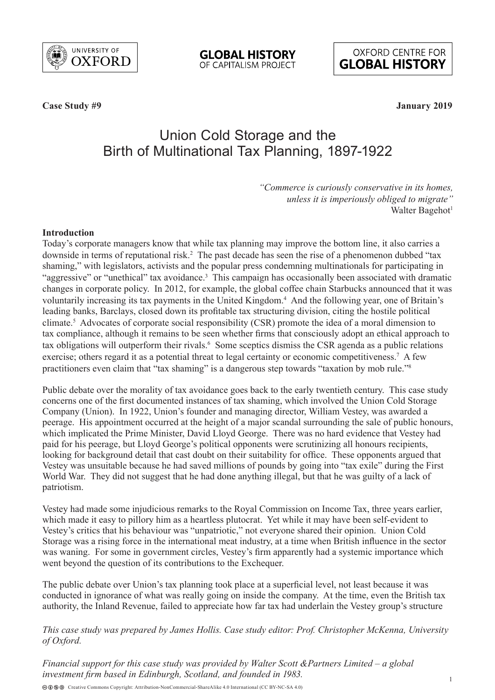

**GLOBAL HISTORY** OF CAPITALISM PROJECT

**OXFORD CENTRE FOR GLOBAL HISTORY** 

**Case Study #9 January 2019**

# Union Cold Storage and the Birth of Multinational Tax Planning, 1897-1922

*"Commerce is curiously conservative in its homes, unless it is imperiously obliged to migrate"* Walter Bagehot<sup>1</sup>

#### **Introduction**

Today's corporate managers know that while tax planning may improve the bottom line, it also carries a downside in terms of reputational risk.<sup>2</sup> The past decade has seen the rise of a phenomenon dubbed "tax shaming," with legislators, activists and the popular press condemning multinationals for participating in "aggressive" or "unethical" tax avoidance.<sup>3</sup> This campaign has occasionally been associated with dramatic changes in corporate policy. In 2012, for example, the global coffee chain Starbucks announced that it was voluntarily increasing its tax payments in the United Kingdom.<sup>4</sup> And the following year, one of Britain's leading banks, Barclays, closed down its profitable tax structuring division, citing the hostile political climate.5 Advocates of corporate social responsibility (CSR) promote the idea of a moral dimension to tax compliance, although it remains to be seen whether firms that consciously adopt an ethical approach to tax obligations will outperform their rivals.<sup>6</sup> Some sceptics dismiss the CSR agenda as a public relations exercise; others regard it as a potential threat to legal certainty or economic competitiveness.<sup>7</sup> A few practitioners even claim that "tax shaming" is a dangerous step towards "taxation by mob rule."8

Public debate over the morality of tax avoidance goes back to the early twentieth century. This case study concerns one of the first documented instances of tax shaming, which involved the Union Cold Storage Company (Union). In 1922, Union's founder and managing director, William Vestey, was awarded a peerage. His appointment occurred at the height of a major scandal surrounding the sale of public honours, which implicated the Prime Minister, David Lloyd George. There was no hard evidence that Vestey had paid for his peerage, but Lloyd George's political opponents were scrutinizing all honours recipients, looking for background detail that cast doubt on their suitability for office. These opponents argued that Vestey was unsuitable because he had saved millions of pounds by going into "tax exile" during the First World War. They did not suggest that he had done anything illegal, but that he was guilty of a lack of patriotism.

Vestey had made some injudicious remarks to the Royal Commission on Income Tax, three years earlier, which made it easy to pillory him as a heartless plutocrat. Yet while it may have been self-evident to Vestey's critics that his behaviour was "unpatriotic," not everyone shared their opinion. Union Cold Storage was a rising force in the international meat industry, at a time when British influence in the sector was waning. For some in government circles, Vestey's firm apparently had a systemic importance which went beyond the question of its contributions to the Exchequer.

The public debate over Union's tax planning took place at a superficial level, not least because it was conducted in ignorance of what was really going on inside the company. At the time, even the British tax authority, the Inland Revenue, failed to appreciate how far tax had underlain the Vestey group's structure

## *This case study was prepared by James Hollis. Case study editor: Prof. Christopher McKenna, University of Oxford.*

*Financial support for this case study was provided by Walter Scott &Partners Limited – a global investment firm based in Edinburgh, Scotland, and founded in 1983.*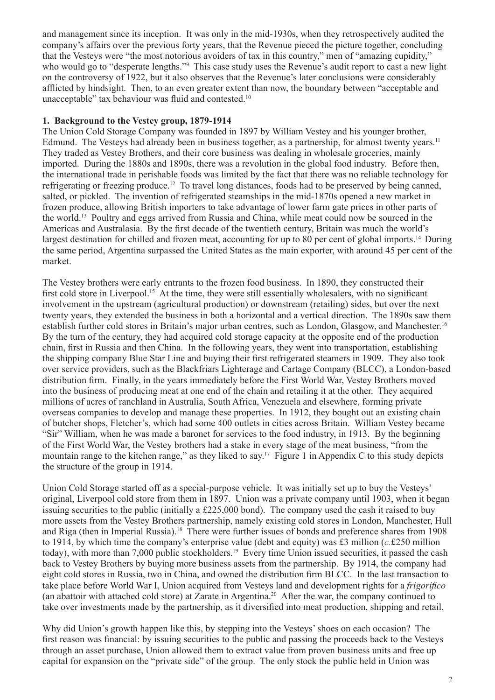and management since its inception. It was only in the mid-1930s, when they retrospectively audited the company's affairs over the previous forty years, that the Revenue pieced the picture together, concluding that the Vesteys were "the most notorious avoiders of tax in this country," men of "amazing cupidity," who would go to "desperate lengths."<sup>9</sup> This case study uses the Revenue's audit report to cast a new light on the controversy of 1922, but it also observes that the Revenue's later conclusions were considerably afflicted by hindsight. Then, to an even greater extent than now, the boundary between "acceptable and unacceptable" tax behaviour was fluid and contested.<sup>10</sup>

#### **1. Background to the Vestey group, 1879-1914**

The Union Cold Storage Company was founded in 1897 by William Vestey and his younger brother, Edmund. The Vesteys had already been in business together, as a partnership, for almost twenty years.<sup>11</sup> They traded as Vestey Brothers, and their core business was dealing in wholesale groceries, mainly imported. During the 1880s and 1890s, there was a revolution in the global food industry. Before then, the international trade in perishable foods was limited by the fact that there was no reliable technology for refrigerating or freezing produce.12 To travel long distances, foods had to be preserved by being canned, salted, or pickled. The invention of refrigerated steamships in the mid-1870s opened a new market in frozen produce, allowing British importers to take advantage of lower farm gate prices in other parts of the world.13 Poultry and eggs arrived from Russia and China, while meat could now be sourced in the Americas and Australasia. By the first decade of the twentieth century, Britain was much the world's largest destination for chilled and frozen meat, accounting for up to 80 per cent of global imports.<sup>14</sup> During the same period, Argentina surpassed the United States as the main exporter, with around 45 per cent of the market.

The Vestey brothers were early entrants to the frozen food business. In 1890, they constructed their first cold store in Liverpool.<sup>15</sup> At the time, they were still essentially wholesalers, with no significant involvement in the upstream (agricultural production) or downstream (retailing) sides, but over the next twenty years, they extended the business in both a horizontal and a vertical direction. The 1890s saw them establish further cold stores in Britain's major urban centres, such as London, Glasgow, and Manchester.16 By the turn of the century, they had acquired cold storage capacity at the opposite end of the production chain, first in Russia and then China. In the following years, they went into transportation, establishing the shipping company Blue Star Line and buying their first refrigerated steamers in 1909. They also took over service providers, such as the Blackfriars Lighterage and Cartage Company (BLCC), a London-based distribution firm. Finally, in the years immediately before the First World War, Vestey Brothers moved into the business of producing meat at one end of the chain and retailing it at the other. They acquired millions of acres of ranchland in Australia, South Africa, Venezuela and elsewhere, forming private overseas companies to develop and manage these properties. In 1912, they bought out an existing chain of butcher shops, Fletcher's, which had some 400 outlets in cities across Britain. William Vestey became "Sir" William, when he was made a baronet for services to the food industry, in 1913. By the beginning of the First World War, the Vestey brothers had a stake in every stage of the meat business, "from the mountain range to the kitchen range," as they liked to say.17 Figure 1 in Appendix C to this study depicts the structure of the group in 1914.

Union Cold Storage started off as a special-purpose vehicle. It was initially set up to buy the Vesteys' original, Liverpool cold store from them in 1897. Union was a private company until 1903, when it began issuing securities to the public (initially a £225,000 bond). The company used the cash it raised to buy more assets from the Vestey Brothers partnership, namely existing cold stores in London, Manchester, Hull and Riga (then in Imperial Russia).18 There were further issues of bonds and preference shares from 1908 to 1914, by which time the company's enterprise value (debt and equity) was £3 million (*c.*£250 million today), with more than 7,000 public stockholders.19 Every time Union issued securities, it passed the cash back to Vestey Brothers by buying more business assets from the partnership. By 1914, the company had eight cold stores in Russia, two in China, and owned the distribution firm BLCC. In the last transaction to take place before World War I, Union acquired from Vesteys land and development rights for a *frigorifico*  (an abattoir with attached cold store) at Zarate in Argentina.20 After the war, the company continued to take over investments made by the partnership, as it diversified into meat production, shipping and retail.

Why did Union's growth happen like this, by stepping into the Vesteys' shoes on each occasion? The first reason was financial: by issuing securities to the public and passing the proceeds back to the Vesteys through an asset purchase, Union allowed them to extract value from proven business units and free up capital for expansion on the "private side" of the group. The only stock the public held in Union was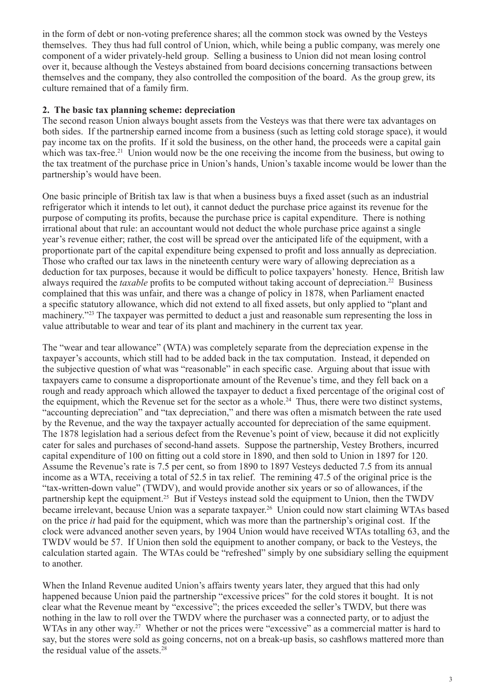in the form of debt or non-voting preference shares; all the common stock was owned by the Vesteys themselves. They thus had full control of Union, which, while being a public company, was merely one component of a wider privately-held group. Selling a business to Union did not mean losing control over it, because although the Vesteys abstained from board decisions concerning transactions between themselves and the company, they also controlled the composition of the board. As the group grew, its culture remained that of a family firm.

#### **2. The basic tax planning scheme: depreciation**

The second reason Union always bought assets from the Vesteys was that there were tax advantages on both sides. If the partnership earned income from a business (such as letting cold storage space), it would pay income tax on the profits. If it sold the business, on the other hand, the proceeds were a capital gain which was tax-free.<sup>21</sup> Union would now be the one receiving the income from the business, but owing to the tax treatment of the purchase price in Union's hands, Union's taxable income would be lower than the partnership's would have been.

One basic principle of British tax law is that when a business buys a fixed asset (such as an industrial refrigerator which it intends to let out), it cannot deduct the purchase price against its revenue for the purpose of computing its profits, because the purchase price is capital expenditure. There is nothing irrational about that rule: an accountant would not deduct the whole purchase price against a single year's revenue either; rather, the cost will be spread over the anticipated life of the equipment, with a proportionate part of the capital expenditure being expensed to profit and loss annually as depreciation. Those who crafted our tax laws in the nineteenth century were wary of allowing depreciation as a deduction for tax purposes, because it would be difficult to police taxpayers' honesty. Hence, British law always required the *taxable* profits to be computed without taking account of depreciation.<sup>22</sup> Business complained that this was unfair, and there was a change of policy in 1878, when Parliament enacted a specific statutory allowance, which did not extend to all fixed assets, but only applied to "plant and machinery."23 The taxpayer was permitted to deduct a just and reasonable sum representing the loss in value attributable to wear and tear of its plant and machinery in the current tax year.

The "wear and tear allowance" (WTA) was completely separate from the depreciation expense in the taxpayer's accounts, which still had to be added back in the tax computation. Instead, it depended on the subjective question of what was "reasonable" in each specific case. Arguing about that issue with taxpayers came to consume a disproportionate amount of the Revenue's time, and they fell back on a rough and ready approach which allowed the taxpayer to deduct a fixed percentage of the original cost of the equipment, which the Revenue set for the sector as a whole.<sup>24</sup> Thus, there were two distinct systems, "accounting depreciation" and "tax depreciation," and there was often a mismatch between the rate used by the Revenue, and the way the taxpayer actually accounted for depreciation of the same equipment. The 1878 legislation had a serious defect from the Revenue's point of view, because it did not explicitly cater for sales and purchases of second-hand assets. Suppose the partnership, Vestey Brothers, incurred capital expenditure of 100 on fitting out a cold store in 1890, and then sold to Union in 1897 for 120. Assume the Revenue's rate is 7.5 per cent, so from 1890 to 1897 Vesteys deducted 7.5 from its annual income as a WTA, receiving a total of 52.5 in tax relief. The remining 47.5 of the original price is the "tax-written-down value" (TWDV), and would provide another six years or so of allowances, if the partnership kept the equipment.<sup>25</sup> But if Vesteys instead sold the equipment to Union, then the TWDV became irrelevant, because Union was a separate taxpayer.<sup>26</sup> Union could now start claiming WTAs based on the price *it* had paid for the equipment, which was more than the partnership's original cost. If the clock were advanced another seven years, by 1904 Union would have received WTAs totalling 63, and the TWDV would be 57. If Union then sold the equipment to another company, or back to the Vesteys, the calculation started again. The WTAs could be "refreshed" simply by one subsidiary selling the equipment to another.

When the Inland Revenue audited Union's affairs twenty years later, they argued that this had only happened because Union paid the partnership "excessive prices" for the cold stores it bought. It is not clear what the Revenue meant by "excessive"; the prices exceeded the seller's TWDV, but there was nothing in the law to roll over the TWDV where the purchaser was a connected party, or to adjust the WTAs in any other way.<sup>27</sup> Whether or not the prices were "excessive" as a commercial matter is hard to say, but the stores were sold as going concerns, not on a break-up basis, so cashflows mattered more than the residual value of the assets. $28$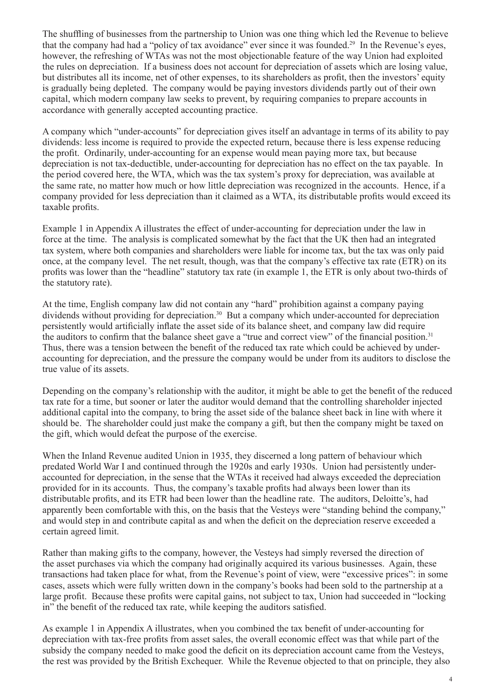The shuffling of businesses from the partnership to Union was one thing which led the Revenue to believe that the company had had a "policy of tax avoidance" ever since it was founded.29 In the Revenue's eyes, however, the refreshing of WTAs was not the most objectionable feature of the way Union had exploited the rules on depreciation. If a business does not account for depreciation of assets which are losing value, but distributes all its income, net of other expenses, to its shareholders as profit, then the investors' equity is gradually being depleted. The company would be paying investors dividends partly out of their own capital, which modern company law seeks to prevent, by requiring companies to prepare accounts in accordance with generally accepted accounting practice.

A company which "under-accounts" for depreciation gives itself an advantage in terms of its ability to pay dividends: less income is required to provide the expected return, because there is less expense reducing the profit. Ordinarily, under-accounting for an expense would mean paying more tax, but because depreciation is not tax-deductible, under-accounting for depreciation has no effect on the tax payable. In the period covered here, the WTA, which was the tax system's proxy for depreciation, was available at the same rate, no matter how much or how little depreciation was recognized in the accounts. Hence, if a company provided for less depreciation than it claimed as a WTA, its distributable profits would exceed its taxable profits.

Example 1 in Appendix A illustrates the effect of under-accounting for depreciation under the law in force at the time. The analysis is complicated somewhat by the fact that the UK then had an integrated tax system, where both companies and shareholders were liable for income tax, but the tax was only paid once, at the company level. The net result, though, was that the company's effective tax rate (ETR) on its profits was lower than the "headline" statutory tax rate (in example 1, the ETR is only about two-thirds of the statutory rate).

At the time, English company law did not contain any "hard" prohibition against a company paying dividends without providing for depreciation.<sup>30</sup> But a company which under-accounted for depreciation persistently would artificially inflate the asset side of its balance sheet, and company law did require the auditors to confirm that the balance sheet gave a "true and correct view" of the financial position.<sup>31</sup> Thus, there was a tension between the benefit of the reduced tax rate which could be achieved by underaccounting for depreciation, and the pressure the company would be under from its auditors to disclose the true value of its assets.

Depending on the company's relationship with the auditor, it might be able to get the benefit of the reduced tax rate for a time, but sooner or later the auditor would demand that the controlling shareholder injected additional capital into the company, to bring the asset side of the balance sheet back in line with where it should be. The shareholder could just make the company a gift, but then the company might be taxed on the gift, which would defeat the purpose of the exercise.

When the Inland Revenue audited Union in 1935, they discerned a long pattern of behaviour which predated World War I and continued through the 1920s and early 1930s. Union had persistently underaccounted for depreciation, in the sense that the WTAs it received had always exceeded the depreciation provided for in its accounts. Thus, the company's taxable profits had always been lower than its distributable profits, and its ETR had been lower than the headline rate. The auditors, Deloitte's, had apparently been comfortable with this, on the basis that the Vesteys were "standing behind the company," and would step in and contribute capital as and when the deficit on the depreciation reserve exceeded a certain agreed limit.

Rather than making gifts to the company, however, the Vesteys had simply reversed the direction of the asset purchases via which the company had originally acquired its various businesses. Again, these transactions had taken place for what, from the Revenue's point of view, were "excessive prices": in some cases, assets which were fully written down in the company's books had been sold to the partnership at a large profit. Because these profits were capital gains, not subject to tax, Union had succeeded in "locking in" the benefit of the reduced tax rate, while keeping the auditors satisfied.

As example 1 in Appendix A illustrates, when you combined the tax benefit of under-accounting for depreciation with tax-free profits from asset sales, the overall economic effect was that while part of the subsidy the company needed to make good the deficit on its depreciation account came from the Vesteys, the rest was provided by the British Exchequer. While the Revenue objected to that on principle, they also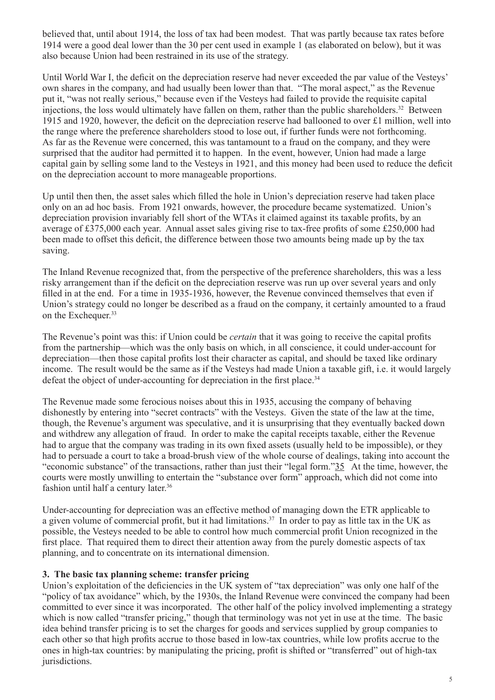believed that, until about 1914, the loss of tax had been modest. That was partly because tax rates before 1914 were a good deal lower than the 30 per cent used in example 1 (as elaborated on below), but it was also because Union had been restrained in its use of the strategy.

Until World War I, the deficit on the depreciation reserve had never exceeded the par value of the Vesteys' own shares in the company, and had usually been lower than that. "The moral aspect," as the Revenue put it, "was not really serious," because even if the Vesteys had failed to provide the requisite capital injections, the loss would ultimately have fallen on them, rather than the public shareholders.<sup>32</sup> Between 1915 and 1920, however, the deficit on the depreciation reserve had ballooned to over £1 million, well into the range where the preference shareholders stood to lose out, if further funds were not forthcoming. As far as the Revenue were concerned, this was tantamount to a fraud on the company, and they were surprised that the auditor had permitted it to happen. In the event, however, Union had made a large capital gain by selling some land to the Vesteys in 1921, and this money had been used to reduce the deficit on the depreciation account to more manageable proportions.

Up until then then, the asset sales which filled the hole in Union's depreciation reserve had taken place only on an ad hoc basis. From 1921 onwards, however, the procedure became systematized. Union's depreciation provision invariably fell short of the WTAs it claimed against its taxable profits, by an average of £375,000 each year. Annual asset sales giving rise to tax-free profits of some £250,000 had been made to offset this deficit, the difference between those two amounts being made up by the tax saving.

The Inland Revenue recognized that, from the perspective of the preference shareholders, this was a less risky arrangement than if the deficit on the depreciation reserve was run up over several years and only filled in at the end. For a time in 1935-1936, however, the Revenue convinced themselves that even if Union's strategy could no longer be described as a fraud on the company, it certainly amounted to a fraud on the Exchequer.<sup>33</sup>

The Revenue's point was this: if Union could be *certain* that it was going to receive the capital profits from the partnership—which was the only basis on which, in all conscience, it could under-account for depreciation—then those capital profits lost their character as capital, and should be taxed like ordinary income. The result would be the same as if the Vesteys had made Union a taxable gift, i.e. it would largely defeat the object of under-accounting for depreciation in the first place.<sup>34</sup>

The Revenue made some ferocious noises about this in 1935, accusing the company of behaving dishonestly by entering into "secret contracts" with the Vesteys. Given the state of the law at the time, though, the Revenue's argument was speculative, and it is unsurprising that they eventually backed down and withdrew any allegation of fraud. In order to make the capital receipts taxable, either the Revenue had to argue that the company was trading in its own fixed assets (usually held to be impossible), or they had to persuade a court to take a broad-brush view of the whole course of dealings, taking into account the "economic substance" of the transactions, rather than just their "legal form."35 At the time, however, the courts were mostly unwilling to entertain the "substance over form" approach, which did not come into fashion until half a century later.<sup>36</sup>

Under-accounting for depreciation was an effective method of managing down the ETR applicable to a given volume of commercial profit, but it had limitations.<sup>37</sup> In order to pay as little tax in the UK as possible, the Vesteys needed to be able to control how much commercial profit Union recognized in the first place. That required them to direct their attention away from the purely domestic aspects of tax planning, and to concentrate on its international dimension.

#### **3. The basic tax planning scheme: transfer pricing**

Union's exploitation of the deficiencies in the UK system of "tax depreciation" was only one half of the "policy of tax avoidance" which, by the 1930s, the Inland Revenue were convinced the company had been committed to ever since it was incorporated. The other half of the policy involved implementing a strategy which is now called "transfer pricing," though that terminology was not yet in use at the time. The basic idea behind transfer pricing is to set the charges for goods and services supplied by group companies to each other so that high profits accrue to those based in low-tax countries, while low profits accrue to the ones in high-tax countries: by manipulating the pricing, profit is shifted or "transferred" out of high-tax jurisdictions.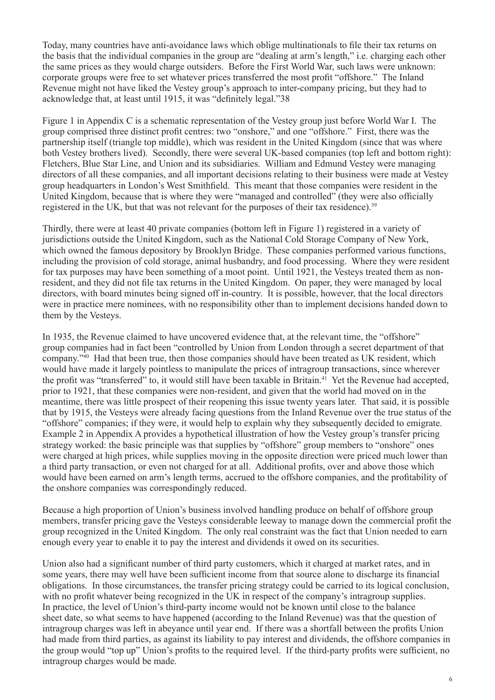Today, many countries have anti-avoidance laws which oblige multinationals to file their tax returns on the basis that the individual companies in the group are "dealing at arm's length," i.e. charging each other the same prices as they would charge outsiders. Before the First World War, such laws were unknown: corporate groups were free to set whatever prices transferred the most profit "offshore." The Inland Revenue might not have liked the Vestey group's approach to inter-company pricing, but they had to acknowledge that, at least until 1915, it was "definitely legal."38

Figure 1 in Appendix C is a schematic representation of the Vestey group just before World War I. The group comprised three distinct profit centres: two "onshore," and one "offshore." First, there was the partnership itself (triangle top middle), which was resident in the United Kingdom (since that was where both Vestey brothers lived). Secondly, there were several UK-based companies (top left and bottom right): Fletchers, Blue Star Line, and Union and its subsidiaries. William and Edmund Vestey were managing directors of all these companies, and all important decisions relating to their business were made at Vestey group headquarters in London's West Smithfield. This meant that those companies were resident in the United Kingdom, because that is where they were "managed and controlled" (they were also officially registered in the UK, but that was not relevant for the purposes of their tax residence).<sup>39</sup>

Thirdly, there were at least 40 private companies (bottom left in Figure 1) registered in a variety of jurisdictions outside the United Kingdom, such as the National Cold Storage Company of New York, which owned the famous depository by Brooklyn Bridge. These companies performed various functions, including the provision of cold storage, animal husbandry, and food processing. Where they were resident for tax purposes may have been something of a moot point. Until 1921, the Vesteys treated them as nonresident, and they did not file tax returns in the United Kingdom. On paper, they were managed by local directors, with board minutes being signed off in-country. It is possible, however, that the local directors were in practice mere nominees, with no responsibility other than to implement decisions handed down to them by the Vesteys.

In 1935, the Revenue claimed to have uncovered evidence that, at the relevant time, the "offshore" group companies had in fact been "controlled by Union from London through a secret department of that company."40 Had that been true, then those companies should have been treated as UK resident, which would have made it largely pointless to manipulate the prices of intragroup transactions, since wherever the profit was "transferred" to, it would still have been taxable in Britain.<sup>41</sup> Yet the Revenue had accepted, prior to 1921, that these companies were non-resident, and given that the world had moved on in the meantime, there was little prospect of their reopening this issue twenty years later. That said, it is possible that by 1915, the Vesteys were already facing questions from the Inland Revenue over the true status of the "offshore" companies; if they were, it would help to explain why they subsequently decided to emigrate. Example 2 in Appendix A provides a hypothetical illustration of how the Vestey group's transfer pricing strategy worked: the basic principle was that supplies by "offshore" group members to "onshore" ones were charged at high prices, while supplies moving in the opposite direction were priced much lower than a third party transaction, or even not charged for at all. Additional profits, over and above those which would have been earned on arm's length terms, accrued to the offshore companies, and the profitability of the onshore companies was correspondingly reduced.

Because a high proportion of Union's business involved handling produce on behalf of offshore group members, transfer pricing gave the Vesteys considerable leeway to manage down the commercial profit the group recognized in the United Kingdom. The only real constraint was the fact that Union needed to earn enough every year to enable it to pay the interest and dividends it owed on its securities.

Union also had a significant number of third party customers, which it charged at market rates, and in some years, there may well have been sufficient income from that source alone to discharge its financial obligations. In those circumstances, the transfer pricing strategy could be carried to its logical conclusion, with no profit whatever being recognized in the UK in respect of the company's intragroup supplies. In practice, the level of Union's third-party income would not be known until close to the balance sheet date, so what seems to have happened (according to the Inland Revenue) was that the question of intragroup charges was left in abeyance until year end. If there was a shortfall between the profits Union had made from third parties, as against its liability to pay interest and dividends, the offshore companies in the group would "top up" Union's profits to the required level. If the third-party profits were sufficient, no intragroup charges would be made.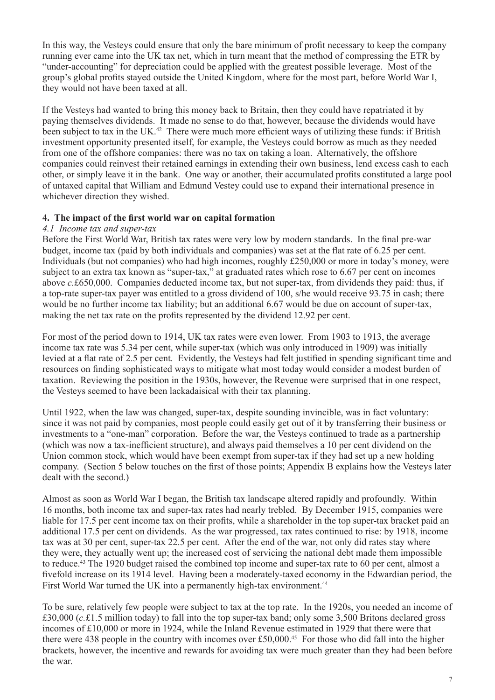In this way, the Vesteys could ensure that only the bare minimum of profit necessary to keep the company running ever came into the UK tax net, which in turn meant that the method of compressing the ETR by "under-accounting" for depreciation could be applied with the greatest possible leverage. Most of the group's global profits stayed outside the United Kingdom, where for the most part, before World War I, they would not have been taxed at all.

If the Vesteys had wanted to bring this money back to Britain, then they could have repatriated it by paying themselves dividends. It made no sense to do that, however, because the dividends would have been subject to tax in the UK.<sup>42</sup> There were much more efficient ways of utilizing these funds: if British investment opportunity presented itself, for example, the Vesteys could borrow as much as they needed from one of the offshore companies: there was no tax on taking a loan. Alternatively, the offshore companies could reinvest their retained earnings in extending their own business, lend excess cash to each other, or simply leave it in the bank. One way or another, their accumulated profits constituted a large pool of untaxed capital that William and Edmund Vestey could use to expand their international presence in whichever direction they wished.

#### **4. The impact of the first world war on capital formation**

#### *4.1 Income tax and super-tax*

Before the First World War, British tax rates were very low by modern standards. In the final pre-war budget, income tax (paid by both individuals and companies) was set at the flat rate of 6.25 per cent. Individuals (but not companies) who had high incomes, roughly £250,000 or more in today's money, were subject to an extra tax known as "super-tax," at graduated rates which rose to 6.67 per cent on incomes above *c.*£650,000. Companies deducted income tax, but not super-tax, from dividends they paid: thus, if a top-rate super-tax payer was entitled to a gross dividend of 100, s/he would receive 93.75 in cash; there would be no further income tax liability; but an additional 6.67 would be due on account of super-tax, making the net tax rate on the profits represented by the dividend 12.92 per cent.

For most of the period down to 1914, UK tax rates were even lower. From 1903 to 1913, the average income tax rate was 5.34 per cent, while super-tax (which was only introduced in 1909) was initially levied at a flat rate of 2.5 per cent. Evidently, the Vesteys had felt justified in spending significant time and resources on finding sophisticated ways to mitigate what most today would consider a modest burden of taxation. Reviewing the position in the 1930s, however, the Revenue were surprised that in one respect, the Vesteys seemed to have been lackadaisical with their tax planning.

Until 1922, when the law was changed, super-tax, despite sounding invincible, was in fact voluntary: since it was not paid by companies, most people could easily get out of it by transferring their business or investments to a "one-man" corporation. Before the war, the Vesteys continued to trade as a partnership (which was now a tax-inefficient structure), and always paid themselves a 10 per cent dividend on the Union common stock, which would have been exempt from super-tax if they had set up a new holding company. (Section 5 below touches on the first of those points; Appendix B explains how the Vesteys later dealt with the second.)

Almost as soon as World War I began, the British tax landscape altered rapidly and profoundly. Within 16 months, both income tax and super-tax rates had nearly trebled. By December 1915, companies were liable for 17.5 per cent income tax on their profits, while a shareholder in the top super-tax bracket paid an additional 17.5 per cent on dividends. As the war progressed, tax rates continued to rise: by 1918, income tax was at 30 per cent, super-tax 22.5 per cent. After the end of the war, not only did rates stay where they were, they actually went up; the increased cost of servicing the national debt made them impossible to reduce.43 The 1920 budget raised the combined top income and super-tax rate to 60 per cent, almost a fivefold increase on its 1914 level. Having been a moderately-taxed economy in the Edwardian period, the First World War turned the UK into a permanently high-tax environment.<sup>44</sup>

To be sure, relatively few people were subject to tax at the top rate. In the 1920s, you needed an income of £30,000 (*c.*£1.5 million today) to fall into the top super-tax band; only some 3,500 Britons declared gross incomes of £10,000 or more in 1924, while the Inland Revenue estimated in 1929 that there were that there were 438 people in the country with incomes over £50,000.<sup>45</sup> For those who did fall into the higher brackets, however, the incentive and rewards for avoiding tax were much greater than they had been before the war.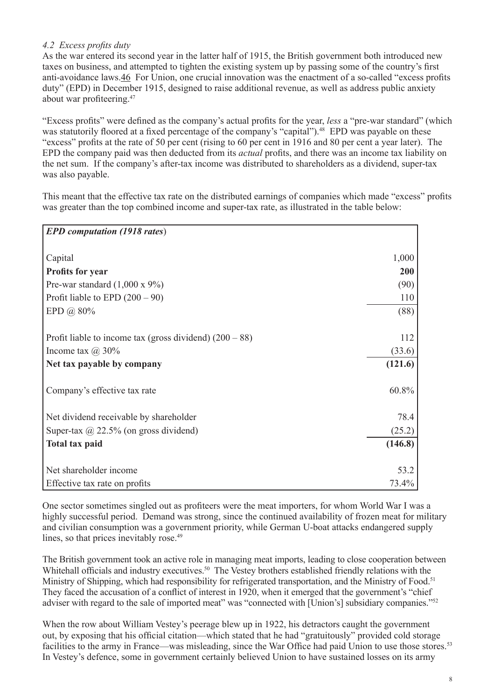# *4.2 Excess profits duty*

As the war entered its second year in the latter half of 1915, the British government both introduced new taxes on business, and attempted to tighten the existing system up by passing some of the country's first anti-avoidance laws.46 For Union, one crucial innovation was the enactment of a so-called "excess profits duty" (EPD) in December 1915, designed to raise additional revenue, as well as address public anxiety about war profiteering.<sup>47</sup>

"Excess profits" were defined as the company's actual profits for the year, *less* a "pre-war standard" (which was statutorily floored at a fixed percentage of the company's "capital").<sup>48</sup> EPD was payable on these "excess" profits at the rate of 50 per cent (rising to 60 per cent in 1916 and 80 per cent a year later). The EPD the company paid was then deducted from its *actual* profits, and there was an income tax liability on the net sum. If the company's after-tax income was distributed to shareholders as a dividend, super-tax was also payable.

This meant that the effective tax rate on the distributed earnings of companies which made "excess" profits was greater than the top combined income and super-tax rate, as illustrated in the table below:

| <b>EPD</b> computation (1918 rates)                       |            |
|-----------------------------------------------------------|------------|
|                                                           |            |
| Capital                                                   | 1,000      |
| <b>Profits for year</b>                                   | <b>200</b> |
| Pre-war standard $(1,000 \times 9\%)$                     | (90)       |
| Profit liable to EPD $(200 – 90)$                         | 110        |
| EPD @ 80%                                                 | (88)       |
| Profit liable to income tax (gross dividend) $(200 - 88)$ | 112        |
| Income tax $(a)$ 30%                                      | (33.6)     |
| Net tax payable by company                                | (121.6)    |
| Company's effective tax rate                              | 60.8%      |
| Net dividend receivable by shareholder                    | 78.4       |
| Super-tax $\omega$ 22.5% (on gross dividend)              | (25.2)     |
| <b>Total tax paid</b>                                     | (146.8)    |
| Net shareholder income                                    | 53.2       |
| Effective tax rate on profits                             | 73.4%      |

One sector sometimes singled out as profiteers were the meat importers, for whom World War I was a highly successful period. Demand was strong, since the continued availability of frozen meat for military and civilian consumption was a government priority, while German U-boat attacks endangered supply lines, so that prices inevitably rose.<sup>49</sup>

The British government took an active role in managing meat imports, leading to close cooperation between Whitehall officials and industry executives.<sup>50</sup> The Vestey brothers established friendly relations with the Ministry of Shipping, which had responsibility for refrigerated transportation, and the Ministry of Food.<sup>51</sup> They faced the accusation of a conflict of interest in 1920, when it emerged that the government's "chief adviser with regard to the sale of imported meat" was "connected with [Union's] subsidiary companies."<sup>52</sup>

When the row about William Vestey's peerage blew up in 1922, his detractors caught the government out, by exposing that his official citation—which stated that he had "gratuitously" provided cold storage facilities to the army in France—was misleading, since the War Office had paid Union to use those stores.<sup>53</sup> In Vestey's defence, some in government certainly believed Union to have sustained losses on its army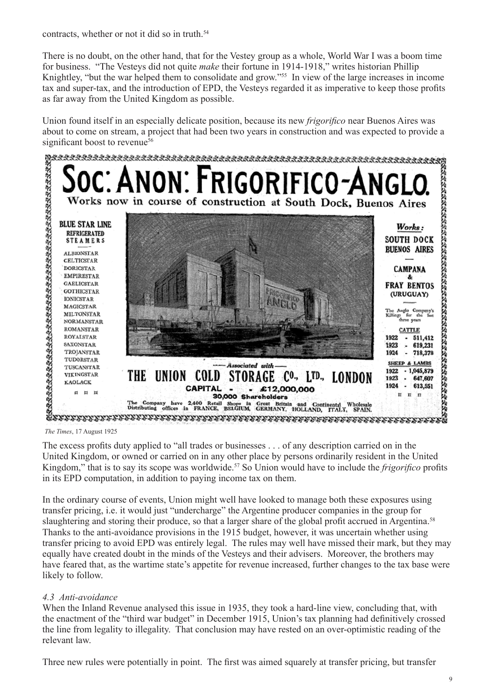contracts, whether or not it did so in truth.<sup>54</sup>

There is no doubt, on the other hand, that for the Vestey group as a whole, World War I was a boom time for business. "The Vesteys did not quite *make* their fortune in 1914-1918," writes historian Phillip Knightley, "but the war helped them to consolidate and grow."<sup>55</sup> In view of the large increases in income tax and super-tax, and the introduction of EPD, the Vesteys regarded it as imperative to keep those profits as far away from the United Kingdom as possible.

Union found itself in an especially delicate position, because its new *frigorifico* near Buenos Aires was about to come on stream, a project that had been two years in construction and was expected to provide a



*The Times*, 17 August 1925

The excess profits duty applied to "all trades or businesses . . . of any description carried on in the United Kingdom, or owned or carried on in any other place by persons ordinarily resident in the United Kingdom," that is to say its scope was worldwide.<sup>57</sup> So Union would have to include the *frigorifico* profits in its EPD computation, in addition to paying income tax on them.

In the ordinary course of events, Union might well have looked to manage both these exposures using transfer pricing, i.e. it would just "undercharge" the Argentine producer companies in the group for slaughtering and storing their produce, so that a larger share of the global profit accrued in Argentina.<sup>58</sup> Thanks to the anti-avoidance provisions in the 1915 budget, however, it was uncertain whether using transfer pricing to avoid EPD was entirely legal. The rules may well have missed their mark, but they may equally have created doubt in the minds of the Vesteys and their advisers. Moreover, the brothers may have feared that, as the wartime state's appetite for revenue increased, further changes to the tax base were likely to follow.

# *4.3 Anti-avoidance*

When the Inland Revenue analysed this issue in 1935, they took a hard-line view, concluding that, with the enactment of the "third war budget" in December 1915, Union's tax planning had definitively crossed the line from legality to illegality. That conclusion may have rested on an over-optimistic reading of the relevant law.

Three new rules were potentially in point. The first was aimed squarely at transfer pricing, but transfer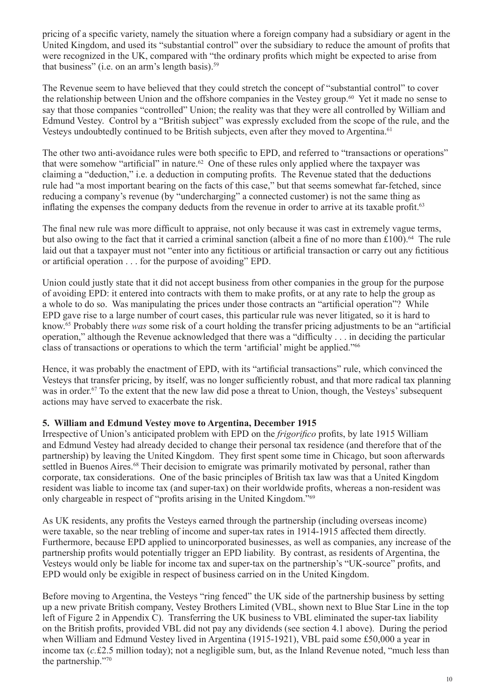pricing of a specific variety, namely the situation where a foreign company had a subsidiary or agent in the United Kingdom, and used its "substantial control" over the subsidiary to reduce the amount of profits that were recognized in the UK, compared with "the ordinary profits which might be expected to arise from that business" (i.e. on an arm's length basis). $59$ 

The Revenue seem to have believed that they could stretch the concept of "substantial control" to cover the relationship between Union and the offshore companies in the Vestey group.60 Yet it made no sense to say that those companies "controlled" Union; the reality was that they were all controlled by William and Edmund Vestey. Control by a "British subject" was expressly excluded from the scope of the rule, and the Vesteys undoubtedly continued to be British subjects, even after they moved to Argentina.<sup>61</sup>

The other two anti-avoidance rules were both specific to EPD, and referred to "transactions or operations" that were somehow "artificial" in nature.<sup>62</sup> One of these rules only applied where the taxpayer was claiming a "deduction," i.e. a deduction in computing profits. The Revenue stated that the deductions rule had "a most important bearing on the facts of this case," but that seems somewhat far-fetched, since reducing a company's revenue (by "undercharging" a connected customer) is not the same thing as inflating the expenses the company deducts from the revenue in order to arrive at its taxable profit.<sup>63</sup>

The final new rule was more difficult to appraise, not only because it was cast in extremely vague terms, but also owing to the fact that it carried a criminal sanction (albeit a fine of no more than £100).<sup>64</sup> The rule laid out that a taxpayer must not "enter into any fictitious or artificial transaction or carry out any fictitious or artificial operation . . . for the purpose of avoiding" EPD.

Union could justly state that it did not accept business from other companies in the group for the purpose of avoiding EPD: it entered into contracts with them to make profits, or at any rate to help the group as a whole to do so. Was manipulating the prices under those contracts an "artificial operation"? While EPD gave rise to a large number of court cases, this particular rule was never litigated, so it is hard to know.65 Probably there *was* some risk of a court holding the transfer pricing adjustments to be an "artificial operation," although the Revenue acknowledged that there was a "difficulty . . . in deciding the particular class of transactions or operations to which the term 'artificial' might be applied."<sup>66</sup>

Hence, it was probably the enactment of EPD, with its "artificial transactions" rule, which convinced the Vesteys that transfer pricing, by itself, was no longer sufficiently robust, and that more radical tax planning was in order.<sup>67</sup> To the extent that the new law did pose a threat to Union, though, the Vesteys' subsequent actions may have served to exacerbate the risk.

### **5. William and Edmund Vestey move to Argentina, December 1915**

Irrespective of Union's anticipated problem with EPD on the *frigorifico* profits, by late 1915 William and Edmund Vestey had already decided to change their personal tax residence (and therefore that of the partnership) by leaving the United Kingdom. They first spent some time in Chicago, but soon afterwards settled in Buenos Aires.<sup>68</sup> Their decision to emigrate was primarily motivated by personal, rather than corporate, tax considerations. One of the basic principles of British tax law was that a United Kingdom resident was liable to income tax (and super-tax) on their worldwide profits, whereas a non-resident was only chargeable in respect of "profits arising in the United Kingdom."<sup>69</sup>

As UK residents, any profits the Vesteys earned through the partnership (including overseas income) were taxable, so the near trebling of income and super-tax rates in 1914-1915 affected them directly. Furthermore, because EPD applied to unincorporated businesses, as well as companies, any increase of the partnership profits would potentially trigger an EPD liability. By contrast, as residents of Argentina, the Vesteys would only be liable for income tax and super-tax on the partnership's "UK-source" profits, and EPD would only be exigible in respect of business carried on in the United Kingdom.

Before moving to Argentina, the Vesteys "ring fenced" the UK side of the partnership business by setting up a new private British company, Vestey Brothers Limited (VBL, shown next to Blue Star Line in the top left of Figure 2 in Appendix C). Transferring the UK business to VBL eliminated the super-tax liability on the British profits, provided VBL did not pay any dividends (see section 4.1 above). During the period when William and Edmund Vestey lived in Argentina (1915-1921), VBL paid some £50,000 a year in income tax (*c.*£2.5 million today); not a negligible sum, but, as the Inland Revenue noted, "much less than the partnership."70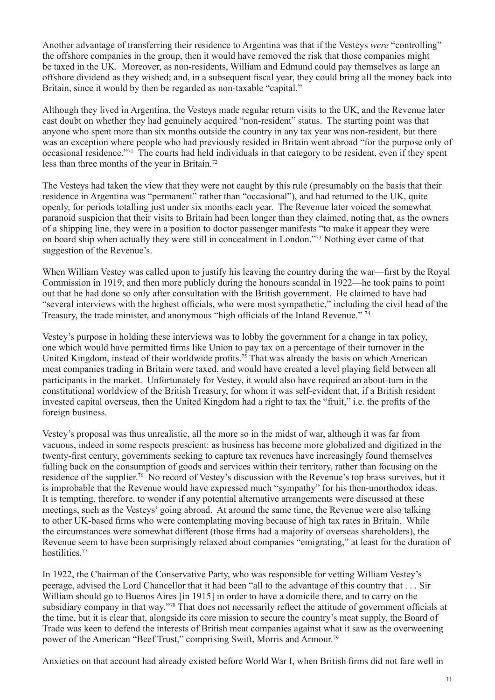Another advantage of transferring their residence to Argentina was that if the Vesteys *were* "controlling" the offshore companies in the group, then it would have removed the risk that those companies might be taxed in the UK. Moreover, as non-residents, William and Edmund could pay themselves as large an offshore dividend as they wished; and, in a subsequent fiscal year, they could bring all the money back into Britain, since it would by then be regarded as non-taxable "capital."

Although they lived in Argentina, the Vesteys made regular return visits to the UK, and the Revenue later cast doubt on whether they had genuinely acquired "non-resident" status. The starting point was that anyone who spent more than six months outside the country in any tax year was non-resident, but there was an exception where people who had previously resided in Britain went abroad "for the purpose only of occasional residence."71 The courts had held individuals in that category to be resident, even if they spent less than three months of the year in Britain.72

The Vesteys had taken the view that they were not caught by this rule (presumably on the basis that their residence in Argentina was "permanent" rather than "occasional"), and had returned to the UK, quite openly, for periods totalling just under six months each year. The Revenue later voiced the somewhat paranoid suspicion that their visits to Britain had been longer than they claimed, noting that, as the owners of a shipping line, they were in a position to doctor passenger manifests "to make it appear they were on board ship when actually they were still in concealment in London."73 Nothing ever came of that suggestion of the Revenue's.

When William Vestey was called upon to justify his leaving the country during the war—first by the Royal Commission in 1919, and then more publicly during the honours scandal in 1922—he took pains to point out that he had done so only after consultation with the British government. He claimed to have had "several interviews with the highest officials, who were most sympathetic," including the civil head of the Treasury, the trade minister, and anonymous "high officials of the Inland Revenue."  $\frac{74}{4}$ 

Vestey's purpose in holding these interviews was to lobby the government for a change in tax policy, one which would have permitted firms like Union to pay tax on a percentage of their turnover in the United Kingdom, instead of their worldwide profits.<sup>75</sup> That was already the basis on which American meat companies trading in Britain were taxed, and would have created a level playing field between all participants in the market. Unfortunately for Vestey, it would also have required an about-turn in the constitutional worldview of the British Treasury, for whom it was self-evident that, if a British resident invested capital overseas, then the United Kingdom had a right to tax the "fruit," i.e. the profits of the foreign business.

Vestey's proposal was thus unrealistic, all the more so in the midst of war, although it was far from vacuous, indeed in some respects prescient: as business has become more globalized and digitized in the twenty-first century, governments seeking to capture tax revenues have increasingly found themselves falling back on the consumption of goods and services within their territory, rather than focusing on the residence of the supplier.76 No record of Vestey's discussion with the Revenue's top brass survives, but it is improbable that the Revenue would have expressed much "sympathy" for his then-unorthodox ideas. It is tempting, therefore, to wonder if any potential alternative arrangements were discussed at these meetings, such as the Vesteys' going abroad. At around the same time, the Revenue were also talking to other UK-based firms who were contemplating moving because of high tax rates in Britain. While the circumstances were somewhat different (those firms had a majority of overseas shareholders), the Revenue seem to have been surprisingly relaxed about companies "emigrating," at least for the duration of hostilities.<sup>77</sup>

In 1922, the Chairman of the Conservative Party, who was responsible for vetting William Vestey's peerage, advised the Lord Chancellor that it had been "all to the advantage of this country that . . . Sir William should go to Buenos Aires [in 1915] in order to have a domicile there, and to carry on the subsidiary company in that way."<sup>78</sup> That does not necessarily reflect the attitude of government officials at the time, but it is clear that, alongside its core mission to secure the country's meat supply, the Board of Trade was keen to defend the interests of British meat companies against what it saw as the overweening power of the American "Beef Trust," comprising Swift, Morris and Armour.79

Anxieties on that account had already existed before World War I, when British firms did not fare well in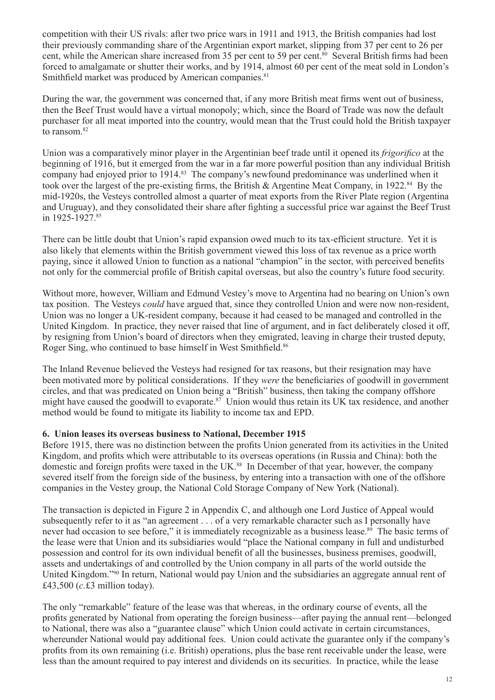competition with their US rivals: after two price wars in 1911 and 1913, the British companies had lost their previously commanding share of the Argentinian export market, slipping from 37 per cent to 26 per cent, while the American share increased from 35 per cent to 59 per cent.<sup>80</sup> Several British firms had been forced to amalgamate or shutter their works, and by 1914, almost 60 per cent of the meat sold in London's Smithfield market was produced by American companies.<sup>81</sup>

During the war, the government was concerned that, if any more British meat firms went out of business, then the Beef Trust would have a virtual monopoly; which, since the Board of Trade was now the default purchaser for all meat imported into the country, would mean that the Trust could hold the British taxpayer to ransom.<sup>82</sup>

Union was a comparatively minor player in the Argentinian beef trade until it opened its *frigorifico* at the beginning of 1916, but it emerged from the war in a far more powerful position than any individual British company had enjoyed prior to 1914.<sup>83</sup> The company's newfound predominance was underlined when it took over the largest of the pre-existing firms, the British & Argentine Meat Company, in 1922.<sup>84</sup> By the mid-1920s, the Vesteys controlled almost a quarter of meat exports from the River Plate region (Argentina and Uruguay), and they consolidated their share after fighting a successful price war against the Beef Trust in 1925-1927.<sup>85</sup>

There can be little doubt that Union's rapid expansion owed much to its tax-efficient structure. Yet it is also likely that elements within the British government viewed this loss of tax revenue as a price worth paying, since it allowed Union to function as a national "champion" in the sector, with perceived benefits not only for the commercial profile of British capital overseas, but also the country's future food security.

Without more, however, William and Edmund Vestey's move to Argentina had no bearing on Union's own tax position. The Vesteys *could* have argued that, since they controlled Union and were now non-resident, Union was no longer a UK-resident company, because it had ceased to be managed and controlled in the United Kingdom. In practice, they never raised that line of argument, and in fact deliberately closed it off, by resigning from Union's board of directors when they emigrated, leaving in charge their trusted deputy, Roger Sing, who continued to base himself in West Smithfield.<sup>86</sup>

The Inland Revenue believed the Vesteys had resigned for tax reasons, but their resignation may have been motivated more by political considerations. If they *were* the beneficiaries of goodwill in government circles, and that was predicated on Union being a "British" business, then taking the company offshore might have caused the goodwill to evaporate.<sup>87</sup> Union would thus retain its UK tax residence, and another method would be found to mitigate its liability to income tax and EPD.

#### **6. Union leases its overseas business to National, December 1915**

Before 1915, there was no distinction between the profits Union generated from its activities in the United Kingdom, and profits which were attributable to its overseas operations (in Russia and China): both the domestic and foreign profits were taxed in the UK.<sup>88</sup> In December of that year, however, the company severed itself from the foreign side of the business, by entering into a transaction with one of the offshore companies in the Vestey group, the National Cold Storage Company of New York (National).

The transaction is depicted in Figure 2 in Appendix C, and although one Lord Justice of Appeal would subsequently refer to it as "an agreement . . . of a very remarkable character such as I personally have never had occasion to see before," it is immediately recognizable as a business lease.<sup>89</sup> The basic terms of the lease were that Union and its subsidiaries would "place the National company in full and undisturbed possession and control for its own individual benefit of all the businesses, business premises, goodwill, assets and undertakings of and controlled by the Union company in all parts of the world outside the United Kingdom."90 In return, National would pay Union and the subsidiaries an aggregate annual rent of £43,500 (*c.*£3 million today).

The only "remarkable" feature of the lease was that whereas, in the ordinary course of events, all the profits generated by National from operating the foreign business—after paying the annual rent—belonged to National, there was also a "guarantee clause" which Union could activate in certain circumstances, whereunder National would pay additional fees. Union could activate the guarantee only if the company's profits from its own remaining (i.e. British) operations, plus the base rent receivable under the lease, were less than the amount required to pay interest and dividends on its securities. In practice, while the lease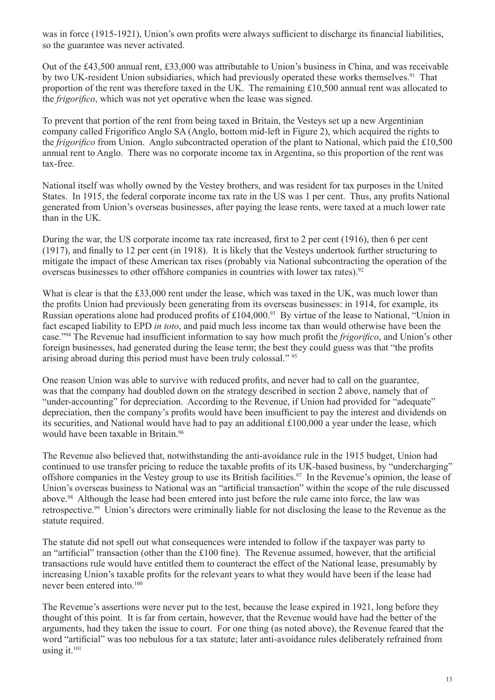was in force (1915-1921), Union's own profits were always sufficient to discharge its financial liabilities, so the guarantee was never activated.

Out of the £43,500 annual rent, £33,000 was attributable to Union's business in China, and was receivable by two UK-resident Union subsidiaries, which had previously operated these works themselves.<sup>91</sup> That proportion of the rent was therefore taxed in the UK. The remaining £10,500 annual rent was allocated to the *frigorifico*, which was not yet operative when the lease was signed.

To prevent that portion of the rent from being taxed in Britain, the Vesteys set up a new Argentinian company called Frigorifico Anglo SA (Anglo, bottom mid-left in Figure 2), which acquired the rights to the *frigorifico* from Union. Anglo subcontracted operation of the plant to National, which paid the £10,500 annual rent to Anglo. There was no corporate income tax in Argentina, so this proportion of the rent was tax-free.

National itself was wholly owned by the Vestey brothers, and was resident for tax purposes in the United States. In 1915, the federal corporate income tax rate in the US was 1 per cent. Thus, any profits National generated from Union's overseas businesses, after paying the lease rents, were taxed at a much lower rate than in the UK.

During the war, the US corporate income tax rate increased, first to 2 per cent (1916), then 6 per cent (1917), and finally to 12 per cent (in 1918). It is likely that the Vesteys undertook further structuring to mitigate the impact of these American tax rises (probably via National subcontracting the operation of the overseas businesses to other offshore companies in countries with lower tax rates).<sup>92</sup>

What is clear is that the £33,000 rent under the lease, which was taxed in the UK, was much lower than the profits Union had previously been generating from its overseas businesses: in 1914, for example, its Russian operations alone had produced profits of £104,000.<sup>93</sup> By virtue of the lease to National, "Union in fact escaped liability to EPD *in toto*, and paid much less income tax than would otherwise have been the case."94 The Revenue had insufficient information to say how much profit the *frigorifico*, and Union's other foreign businesses, had generated during the lease term; the best they could guess was that "the profits arising abroad during this period must have been truly colossal." 95

One reason Union was able to survive with reduced profits, and never had to call on the guarantee, was that the company had doubled down on the strategy described in section 2 above, namely that of "under-accounting" for depreciation. According to the Revenue, if Union had provided for "adequate" depreciation, then the company's profits would have been insufficient to pay the interest and dividends on its securities, and National would have had to pay an additional £100,000 a year under the lease, which would have been taxable in Britain.<sup>96</sup>

The Revenue also believed that, notwithstanding the anti-avoidance rule in the 1915 budget, Union had continued to use transfer pricing to reduce the taxable profits of its UK-based business, by "undercharging" offshore companies in the Vestey group to use its British facilities.<sup>97</sup> In the Revenue's opinion, the lease of Union's overseas business to National was an "artificial transaction" within the scope of the rule discussed above.<sup>98</sup> Although the lease had been entered into just before the rule came into force, the law was retrospective.99 Union's directors were criminally liable for not disclosing the lease to the Revenue as the statute required.

The statute did not spell out what consequences were intended to follow if the taxpayer was party to an "artificial" transaction (other than the £100 fine). The Revenue assumed, however, that the artificial transactions rule would have entitled them to counteract the effect of the National lease, presumably by increasing Union's taxable profits for the relevant years to what they would have been if the lease had never been entered into.100

The Revenue's assertions were never put to the test, because the lease expired in 1921, long before they thought of this point. It is far from certain, however, that the Revenue would have had the better of the arguments, had they taken the issue to court. For one thing (as noted above), the Revenue feared that the word "artificial" was too nebulous for a tax statute; later anti-avoidance rules deliberately refrained from using it. $101$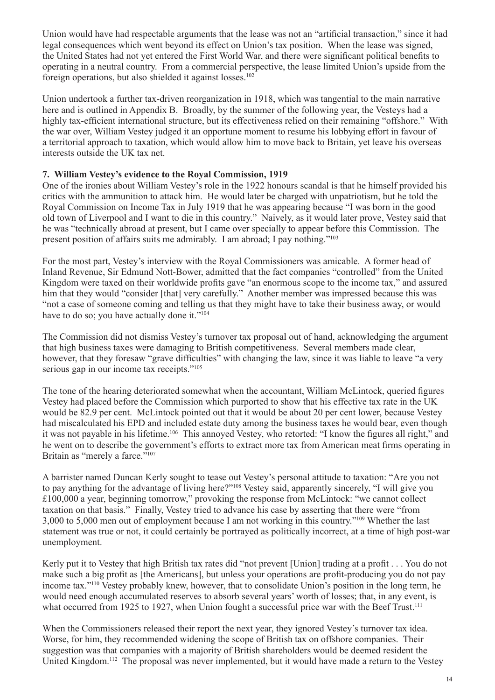Union would have had respectable arguments that the lease was not an "artificial transaction," since it had legal consequences which went beyond its effect on Union's tax position. When the lease was signed, the United States had not yet entered the First World War, and there were significant political benefits to operating in a neutral country. From a commercial perspective, the lease limited Union's upside from the foreign operations, but also shielded it against losses.<sup>102</sup>

Union undertook a further tax-driven reorganization in 1918, which was tangential to the main narrative here and is outlined in Appendix B. Broadly, by the summer of the following year, the Vesteys had a highly tax-efficient international structure, but its effectiveness relied on their remaining "offshore." With the war over, William Vestey judged it an opportune moment to resume his lobbying effort in favour of a territorial approach to taxation, which would allow him to move back to Britain, yet leave his overseas interests outside the UK tax net.

## **7. William Vestey's evidence to the Royal Commission, 1919**

One of the ironies about William Vestey's role in the 1922 honours scandal is that he himself provided his critics with the ammunition to attack him. He would later be charged with unpatriotism, but he told the Royal Commission on Income Tax in July 1919 that he was appearing because "I was born in the good old town of Liverpool and I want to die in this country." Naively, as it would later prove, Vestey said that he was "technically abroad at present, but I came over specially to appear before this Commission. The present position of affairs suits me admirably. I am abroad; I pay nothing."103

For the most part, Vestey's interview with the Royal Commissioners was amicable. A former head of Inland Revenue, Sir Edmund Nott-Bower, admitted that the fact companies "controlled" from the United Kingdom were taxed on their worldwide profits gave "an enormous scope to the income tax," and assured him that they would "consider [that] very carefully." Another member was impressed because this was "not a case of someone coming and telling us that they might have to take their business away, or would have to do so; you have actually done it." $104$ 

The Commission did not dismiss Vestey's turnover tax proposal out of hand, acknowledging the argument that high business taxes were damaging to British competitiveness. Several members made clear, however, that they foresaw "grave difficulties" with changing the law, since it was liable to leave "a very serious gap in our income tax receipts."<sup>105</sup>

The tone of the hearing deteriorated somewhat when the accountant, William McLintock, queried figures Vestey had placed before the Commission which purported to show that his effective tax rate in the UK would be 82.9 per cent. McLintock pointed out that it would be about 20 per cent lower, because Vestey had miscalculated his EPD and included estate duty among the business taxes he would bear, even though it was not payable in his lifetime.<sup>106</sup> This annoyed Vestey, who retorted: "I know the figures all right," and he went on to describe the government's efforts to extract more tax from American meat firms operating in Britain as "merely a farce."<sup>107</sup>

A barrister named Duncan Kerly sought to tease out Vestey's personal attitude to taxation: "Are you not to pay anything for the advantage of living here?"108 Vestey said, apparently sincerely, "I will give you £100,000 a year, beginning tomorrow," provoking the response from McLintock: "we cannot collect taxation on that basis." Finally, Vestey tried to advance his case by asserting that there were "from 3,000 to 5,000 men out of employment because I am not working in this country."109 Whether the last statement was true or not, it could certainly be portrayed as politically incorrect, at a time of high post-war unemployment.

Kerly put it to Vestey that high British tax rates did "not prevent [Union] trading at a profit . . . You do not make such a big profit as [the Americans], but unless your operations are profit-producing you do not pay income tax."110 Vestey probably knew, however, that to consolidate Union's position in the long term, he would need enough accumulated reserves to absorb several years' worth of losses; that, in any event, is what occurred from 1925 to 1927, when Union fought a successful price war with the Beef Trust.<sup>111</sup>

When the Commissioners released their report the next year, they ignored Vestey's turnover tax idea. Worse, for him, they recommended widening the scope of British tax on offshore companies. Their suggestion was that companies with a majority of British shareholders would be deemed resident the United Kingdom.<sup>112</sup> The proposal was never implemented, but it would have made a return to the Vestey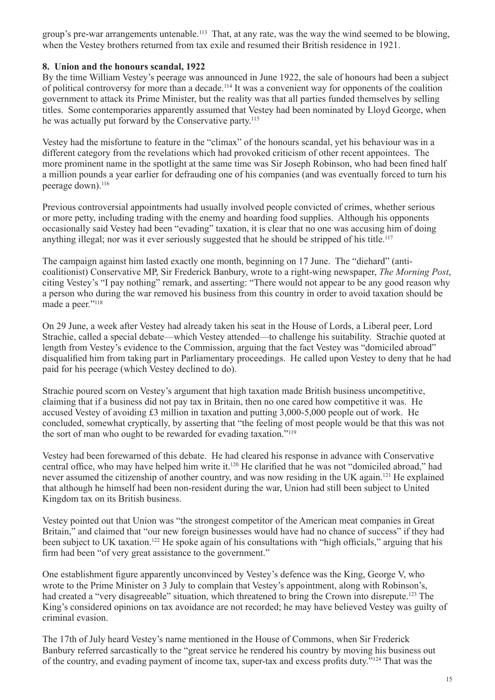group's pre-war arrangements untenable.<sup>113</sup> That, at any rate, was the way the wind seemed to be blowing, when the Vestey brothers returned from tax exile and resumed their British residence in 1921.

## **8. Union and the honours scandal, 1922**

By the time William Vestey's peerage was announced in June 1922, the sale of honours had been a subject of political controversy for more than a decade.114 It was a convenient way for opponents of the coalition government to attack its Prime Minister, but the reality was that all parties funded themselves by selling titles. Some contemporaries apparently assumed that Vestey had been nominated by Lloyd George, when he was actually put forward by the Conservative party.<sup>115</sup>

Vestey had the misfortune to feature in the "climax" of the honours scandal, yet his behaviour was in a different category from the revelations which had provoked criticism of other recent appointees. The more prominent name in the spotlight at the same time was Sir Joseph Robinson, who had been fined half a million pounds a year earlier for defrauding one of his companies (and was eventually forced to turn his peerage down).<sup>116</sup>

Previous controversial appointments had usually involved people convicted of crimes, whether serious or more petty, including trading with the enemy and hoarding food supplies. Although his opponents occasionally said Vestey had been "evading" taxation, it is clear that no one was accusing him of doing anything illegal; nor was it ever seriously suggested that he should be stripped of his title.<sup>117</sup>

The campaign against him lasted exactly one month, beginning on 17 June. The "diehard" (anticoalitionist) Conservative MP, Sir Frederick Banbury, wrote to a right-wing newspaper, *The Morning Post*, citing Vestey's "I pay nothing" remark, and asserting: "There would not appear to be any good reason why a person who during the war removed his business from this country in order to avoid taxation should be made a peer."<sup>118</sup>

On 29 June, a week after Vestey had already taken his seat in the House of Lords, a Liberal peer, Lord Strachie, called a special debate—which Vestey attended—to challenge his suitability. Strachie quoted at length from Vestey's evidence to the Commission, arguing that the fact Vestey was "domiciled abroad" disqualified him from taking part in Parliamentary proceedings. He called upon Vestey to deny that he had paid for his peerage (which Vestey declined to do).

Strachie poured scorn on Vestey's argument that high taxation made British business uncompetitive, claiming that if a business did not pay tax in Britain, then no one cared how competitive it was. He accused Vestey of avoiding £3 million in taxation and putting 3,000-5,000 people out of work. He concluded, somewhat cryptically, by asserting that "the feeling of most people would be that this was not the sort of man who ought to be rewarded for evading taxation."119

Vestey had been forewarned of this debate. He had cleared his response in advance with Conservative central office, who may have helped him write it.<sup>120</sup> He clarified that he was not "domiciled abroad," had never assumed the citizenship of another country, and was now residing in the UK again.121 He explained that although he himself had been non-resident during the war, Union had still been subject to United Kingdom tax on its British business.

Vestey pointed out that Union was "the strongest competitor of the American meat companies in Great Britain," and claimed that "our new foreign businesses would have had no chance of success" if they had been subject to UK taxation.<sup>122</sup> He spoke again of his consultations with "high officials," arguing that his firm had been "of very great assistance to the government."

One establishment figure apparently unconvinced by Vestey's defence was the King, George V, who wrote to the Prime Minister on 3 July to complain that Vestey's appointment, along with Robinson's, had created a "very disagreeable" situation, which threatened to bring the Crown into disrepute.<sup>123</sup> The King's considered opinions on tax avoidance are not recorded; he may have believed Vestey was guilty of criminal evasion.

The 17th of July heard Vestey's name mentioned in the House of Commons, when Sir Frederick Banbury referred sarcastically to the "great service he rendered his country by moving his business out of the country, and evading payment of income tax, super-tax and excess profits duty."124 That was the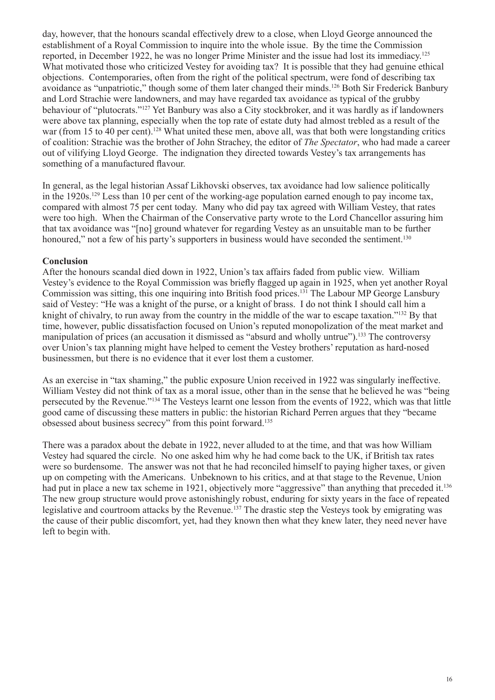day, however, that the honours scandal effectively drew to a close, when Lloyd George announced the establishment of a Royal Commission to inquire into the whole issue. By the time the Commission reported, in December 1922, he was no longer Prime Minister and the issue had lost its immediacy.125 What motivated those who criticized Vestey for avoiding tax? It is possible that they had genuine ethical objections. Contemporaries, often from the right of the political spectrum, were fond of describing tax avoidance as "unpatriotic," though some of them later changed their minds.126 Both Sir Frederick Banbury and Lord Strachie were landowners, and may have regarded tax avoidance as typical of the grubby behaviour of "plutocrats."127 Yet Banbury was also a City stockbroker, and it was hardly as if landowners were above tax planning, especially when the top rate of estate duty had almost trebled as a result of the war (from 15 to 40 per cent).<sup>128</sup> What united these men, above all, was that both were longstanding critics of coalition: Strachie was the brother of John Strachey, the editor of *The Spectator*, who had made a career out of vilifying Lloyd George. The indignation they directed towards Vestey's tax arrangements has something of a manufactured flavour.

In general, as the legal historian Assaf Likhovski observes, tax avoidance had low salience politically in the 1920s.<sup>129</sup> Less than 10 per cent of the working-age population earned enough to pay income tax, compared with almost 75 per cent today. Many who did pay tax agreed with William Vestey, that rates were too high. When the Chairman of the Conservative party wrote to the Lord Chancellor assuring him that tax avoidance was "[no] ground whatever for regarding Vestey as an unsuitable man to be further honoured," not a few of his party's supporters in business would have seconded the sentiment.<sup>130</sup>

## **Conclusion**

After the honours scandal died down in 1922, Union's tax affairs faded from public view. William Vestey's evidence to the Royal Commission was briefly flagged up again in 1925, when yet another Royal Commission was sitting, this one inquiring into British food prices.<sup>131</sup> The Labour MP George Lansbury said of Vestey: "He was a knight of the purse, or a knight of brass. I do not think I should call him a knight of chivalry, to run away from the country in the middle of the war to escape taxation."132 By that time, however, public dissatisfaction focused on Union's reputed monopolization of the meat market and manipulation of prices (an accusation it dismissed as "absurd and wholly untrue").<sup>133</sup> The controversy over Union's tax planning might have helped to cement the Vestey brothers' reputation as hard-nosed businessmen, but there is no evidence that it ever lost them a customer.

As an exercise in "tax shaming," the public exposure Union received in 1922 was singularly ineffective. William Vestey did not think of tax as a moral issue, other than in the sense that he believed he was "being persecuted by the Revenue."134 The Vesteys learnt one lesson from the events of 1922, which was that little good came of discussing these matters in public: the historian Richard Perren argues that they "became obsessed about business secrecy" from this point forward.135

There was a paradox about the debate in 1922, never alluded to at the time, and that was how William Vestey had squared the circle. No one asked him why he had come back to the UK, if British tax rates were so burdensome. The answer was not that he had reconciled himself to paying higher taxes, or given up on competing with the Americans. Unbeknown to his critics, and at that stage to the Revenue, Union had put in place a new tax scheme in 1921, objectively more "aggressive" than anything that preceded it.<sup>136</sup> The new group structure would prove astonishingly robust, enduring for sixty years in the face of repeated legislative and courtroom attacks by the Revenue.<sup>137</sup> The drastic step the Vesteys took by emigrating was the cause of their public discomfort, yet, had they known then what they knew later, they need never have left to begin with.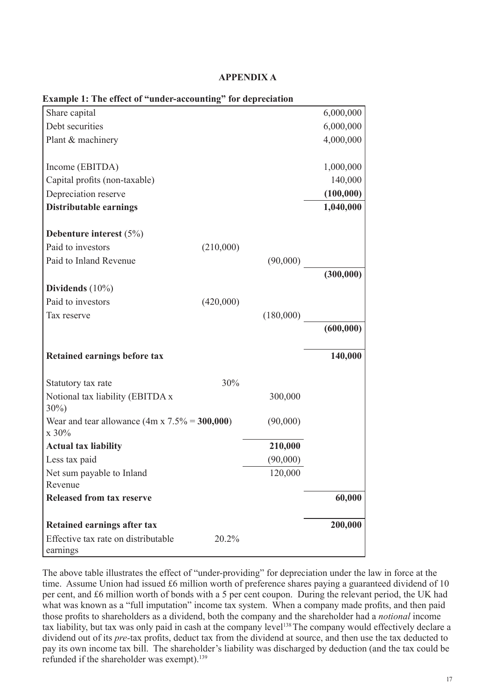### **APPENDIX A**

| Example 1: The effect of "under-accounting" for depreciation   |           |           |            |
|----------------------------------------------------------------|-----------|-----------|------------|
| Share capital                                                  |           |           | 6,000,000  |
| Debt securities                                                |           |           | 6,000,000  |
| Plant & machinery                                              |           |           | 4,000,000  |
|                                                                |           |           |            |
| Income (EBITDA)                                                |           |           | 1,000,000  |
| Capital profits (non-taxable)                                  |           |           | 140,000    |
| Depreciation reserve                                           |           |           | (100,000)  |
| <b>Distributable earnings</b>                                  |           |           | 1,040,000  |
| Debenture interest $(5%)$                                      |           |           |            |
| Paid to investors                                              | (210,000) |           |            |
| Paid to Inland Revenue                                         |           | (90,000)  |            |
|                                                                |           |           | (300,000)  |
| Dividends (10%)                                                |           |           |            |
| Paid to investors                                              | (420,000) |           |            |
| Tax reserve                                                    |           | (180,000) |            |
|                                                                |           |           | (600, 000) |
| <b>Retained earnings before tax</b>                            |           |           | 140,000    |
|                                                                |           |           |            |
| Statutory tax rate                                             | 30%       |           |            |
| Notional tax liability (EBITDA x<br>$30\%)$                    |           | 300,000   |            |
| Wear and tear allowance $(4m \times 7.5\% = 300,000)$<br>x 30% |           | (90,000)  |            |
| <b>Actual tax liability</b>                                    |           | 210,000   |            |
| Less tax paid                                                  |           | (90,000)  |            |
| Net sum payable to Inland                                      |           | 120,000   |            |
| Revenue                                                        |           |           |            |
| <b>Released from tax reserve</b>                               |           |           | 60,000     |
| <b>Retained earnings after tax</b>                             |           |           | 200,000    |
| Effective tax rate on distributable<br>earnings                | 20.2%     |           |            |

#### **Example 1: The effect of "under-accounting" for depreciation**

The above table illustrates the effect of "under-providing" for depreciation under the law in force at the time. Assume Union had issued £6 million worth of preference shares paying a guaranteed dividend of 10 per cent, and £6 million worth of bonds with a 5 per cent coupon. During the relevant period, the UK had what was known as a "full imputation" income tax system. When a company made profits, and then paid those profits to shareholders as a dividend, both the company and the shareholder had a *notional* income tax liability, but tax was only paid in cash at the company level<sup>138</sup> The company would effectively declare a dividend out of its *pre-*tax profits, deduct tax from the dividend at source, and then use the tax deducted to pay its own income tax bill. The shareholder's liability was discharged by deduction (and the tax could be refunded if the shareholder was exempt).<sup>139</sup>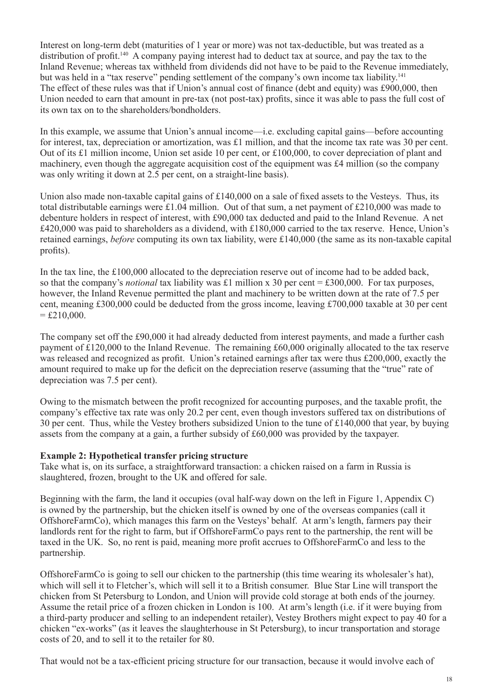Interest on long-term debt (maturities of 1 year or more) was not tax-deductible, but was treated as a distribution of profit.140 A company paying interest had to deduct tax at source, and pay the tax to the Inland Revenue; whereas tax withheld from dividends did not have to be paid to the Revenue immediately, but was held in a "tax reserve" pending settlement of the company's own income tax liability.<sup>141</sup> The effect of these rules was that if Union's annual cost of finance (debt and equity) was £900,000, then Union needed to earn that amount in pre-tax (not post-tax) profits, since it was able to pass the full cost of its own tax on to the shareholders/bondholders.

In this example, we assume that Union's annual income—i.e. excluding capital gains—before accounting for interest, tax, depreciation or amortization, was £1 million, and that the income tax rate was 30 per cent. Out of its £1 million income, Union set aside 10 per cent, or £100,000, to cover depreciation of plant and machinery, even though the aggregate acquisition cost of the equipment was £4 million (so the company was only writing it down at 2.5 per cent, on a straight-line basis).

Union also made non-taxable capital gains of £140,000 on a sale of fixed assets to the Vesteys. Thus, its total distributable earnings were £1.04 million. Out of that sum, a net payment of £210,000 was made to debenture holders in respect of interest, with £90,000 tax deducted and paid to the Inland Revenue. A net £420,000 was paid to shareholders as a dividend, with £180,000 carried to the tax reserve. Hence, Union's retained earnings, *before* computing its own tax liability, were £140,000 (the same as its non-taxable capital profits).

In the tax line, the £100,000 allocated to the depreciation reserve out of income had to be added back, so that the company's *notional* tax liability was £1 million x 30 per cent = £300,000. For tax purposes, however, the Inland Revenue permitted the plant and machinery to be written down at the rate of 7.5 per cent, meaning £300,000 could be deducted from the gross income, leaving £700,000 taxable at 30 per cent  $=$  £210,000.

The company set off the £90,000 it had already deducted from interest payments, and made a further cash payment of £120,000 to the Inland Revenue. The remaining £60,000 originally allocated to the tax reserve was released and recognized as profit. Union's retained earnings after tax were thus £200,000, exactly the amount required to make up for the deficit on the depreciation reserve (assuming that the "true" rate of depreciation was 7.5 per cent).

Owing to the mismatch between the profit recognized for accounting purposes, and the taxable profit, the company's effective tax rate was only 20.2 per cent, even though investors suffered tax on distributions of 30 per cent. Thus, while the Vestey brothers subsidized Union to the tune of £140,000 that year, by buying assets from the company at a gain, a further subsidy of £60,000 was provided by the taxpayer.

#### **Example 2: Hypothetical transfer pricing structure**

Take what is, on its surface, a straightforward transaction: a chicken raised on a farm in Russia is slaughtered, frozen, brought to the UK and offered for sale.

Beginning with the farm, the land it occupies (oval half-way down on the left in Figure 1, Appendix  $C$ ) is owned by the partnership, but the chicken itself is owned by one of the overseas companies (call it OffshoreFarmCo), which manages this farm on the Vesteys' behalf. At arm's length, farmers pay their landlords rent for the right to farm, but if OffshoreFarmCo pays rent to the partnership, the rent will be taxed in the UK. So, no rent is paid, meaning more profit accrues to OffshoreFarmCo and less to the partnership.

OffshoreFarmCo is going to sell our chicken to the partnership (this time wearing its wholesaler's hat), which will sell it to Fletcher's, which will sell it to a British consumer. Blue Star Line will transport the chicken from St Petersburg to London, and Union will provide cold storage at both ends of the journey. Assume the retail price of a frozen chicken in London is 100. At arm's length (i.e. if it were buying from a third-party producer and selling to an independent retailer), Vestey Brothers might expect to pay 40 for a chicken "ex-works" (as it leaves the slaughterhouse in St Petersburg), to incur transportation and storage costs of 20, and to sell it to the retailer for 80.

That would not be a tax-efficient pricing structure for our transaction, because it would involve each of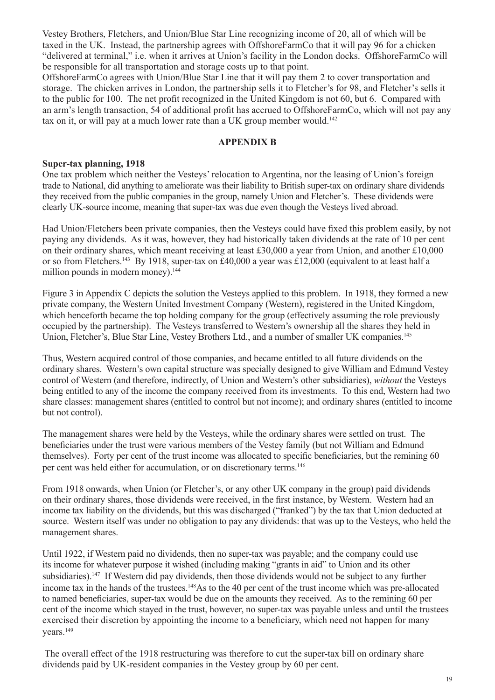Vestey Brothers, Fletchers, and Union/Blue Star Line recognizing income of 20, all of which will be taxed in the UK. Instead, the partnership agrees with OffshoreFarmCo that it will pay 96 for a chicken "delivered at terminal," i.e. when it arrives at Union's facility in the London docks. OffshoreFarmCo will be responsible for all transportation and storage costs up to that point.

OffshoreFarmCo agrees with Union/Blue Star Line that it will pay them 2 to cover transportation and storage. The chicken arrives in London, the partnership sells it to Fletcher's for 98, and Fletcher's sells it to the public for 100. The net profit recognized in the United Kingdom is not 60, but 6. Compared with an arm's length transaction, 54 of additional profit has accrued to OffshoreFarmCo, which will not pay any tax on it, or will pay at a much lower rate than a UK group member would.<sup>142</sup>

### **APPENDIX B**

#### **Super-tax planning, 1918**

One tax problem which neither the Vesteys' relocation to Argentina, nor the leasing of Union's foreign trade to National, did anything to ameliorate was their liability to British super-tax on ordinary share dividends they received from the public companies in the group, namely Union and Fletcher's. These dividends were clearly UK-source income, meaning that super-tax was due even though the Vesteys lived abroad.

Had Union/Fletchers been private companies, then the Vesteys could have fixed this problem easily, by not paying any dividends. As it was, however, they had historically taken dividends at the rate of 10 per cent on their ordinary shares, which meant receiving at least £30,000 a year from Union, and another £10,000 or so from Fletchers.143 By 1918, super-tax on £40,000 a year was £12,000 (equivalent to at least half a million pounds in modern money).<sup>144</sup>

Figure 3 in Appendix C depicts the solution the Vesteys applied to this problem. In 1918, they formed a new private company, the Western United Investment Company (Western), registered in the United Kingdom, which henceforth became the top holding company for the group (effectively assuming the role previously occupied by the partnership). The Vesteys transferred to Western's ownership all the shares they held in Union, Fletcher's, Blue Star Line, Vestey Brothers Ltd., and a number of smaller UK companies.145

Thus, Western acquired control of those companies, and became entitled to all future dividends on the ordinary shares. Western's own capital structure was specially designed to give William and Edmund Vestey control of Western (and therefore, indirectly, of Union and Western's other subsidiaries), *without* the Vesteys being entitled to any of the income the company received from its investments. To this end, Western had two share classes: management shares (entitled to control but not income); and ordinary shares (entitled to income but not control).

The management shares were held by the Vesteys, while the ordinary shares were settled on trust. The beneficiaries under the trust were various members of the Vestey family (but not William and Edmund themselves). Forty per cent of the trust income was allocated to specific beneficiaries, but the remining 60 per cent was held either for accumulation, or on discretionary terms.146

From 1918 onwards, when Union (or Fletcher's, or any other UK company in the group) paid dividends on their ordinary shares, those dividends were received, in the first instance, by Western. Western had an income tax liability on the dividends, but this was discharged ("franked") by the tax that Union deducted at source. Western itself was under no obligation to pay any dividends: that was up to the Vesteys, who held the management shares.

Until 1922, if Western paid no dividends, then no super-tax was payable; and the company could use its income for whatever purpose it wished (including making "grants in aid" to Union and its other subsidiaries).<sup>147</sup> If Western did pay dividends, then those dividends would not be subject to any further income tax in the hands of the trustees.148As to the 40 per cent of the trust income which was pre-allocated to named beneficiaries, super-tax would be due on the amounts they received. As to the remining 60 per cent of the income which stayed in the trust, however, no super-tax was payable unless and until the trustees exercised their discretion by appointing the income to a beneficiary, which need not happen for many vears.<sup>149</sup>

 The overall effect of the 1918 restructuring was therefore to cut the super-tax bill on ordinary share dividends paid by UK-resident companies in the Vestey group by 60 per cent.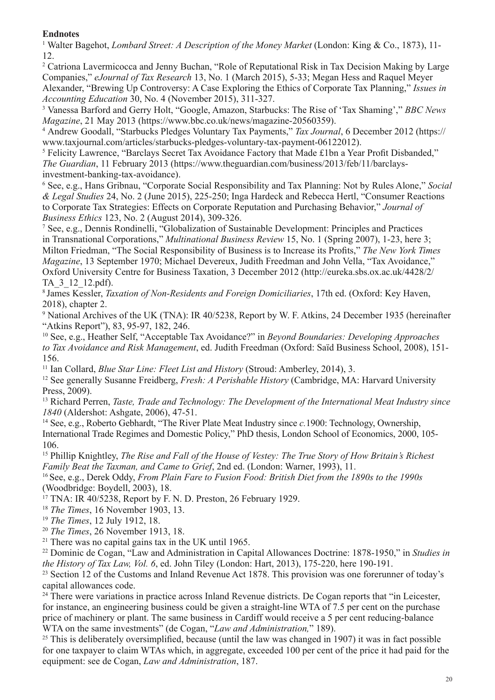# **Endnotes**

<sup>1</sup> Walter Bagehot, *Lombard Street: A Description of the Money Market* (London: King & Co., 1873), 11-12.

<sup>2</sup> Catriona Lavermicocca and Jenny Buchan, "Role of Reputational Risk in Tax Decision Making by Large Companies," *eJournal of Tax Research* 13, No. 1 (March 2015), 5-33; Megan Hess and Raquel Meyer Alexander, "Brewing Up Controversy: A Case Exploring the Ethics of Corporate Tax Planning," *Issues in Accounting Education* 30, No. 4 (November 2015), 311-327.

<sup>3</sup> Vanessa Barford and Gerry Holt, "Google, Amazon, Starbucks: The Rise of 'Tax Shaming'," *BBC News Magazine*, 21 May 2013 (https://www.bbc.co.uk/news/magazine-20560359).

<sup>4</sup> Andrew Goodall, "Starbucks Pledges Voluntary Tax Payments," *Tax Journal*, 6 December 2012 (https:// www.taxjournal.com/articles/starbucks-pledges-voluntary-tax-payment-06122012).

<sup>5</sup> Felicity Lawrence, "Barclays Secret Tax Avoidance Factory that Made £1bn a Year Profit Disbanded," *The Guardian*, 11 February 2013 (https://www.theguardian.com/business/2013/feb/11/barclaysinvestment-banking-tax-avoidance).

<sup>6</sup> See, e.g., Hans Gribnau, "Corporate Social Responsibility and Tax Planning: Not by Rules Alone," *Social & Legal Studies* 24, No. 2 (June 2015), 225-250; Inga Hardeck and Rebecca Hertl, "Consumer Reactions to Corporate Tax Strategies: Effects on Corporate Reputation and Purchasing Behavior," *Journal of Business Ethics* 123, No. 2 (August 2014), 309-326.

<sup>7</sup> See, e.g., Dennis Rondinelli, "Globalization of Sustainable Development: Principles and Practices in Transnational Corporations," *Multinational Business Review* 15, No. 1 (Spring 2007), 1-23, here 3; Milton Friedman, "The Social Responsibility of Business is to Increase its Profits," *The New York Times Magazine*, 13 September 1970; Michael Devereux, Judith Freedman and John Vella, "Tax Avoidance," Oxford University Centre for Business Taxation, 3 December 2012 (http://eureka.sbs.ox.ac.uk/4428/2/ TA\_3\_12\_12.pdf).

8 James Kessler, *Taxation of Non-Residents and Foreign Domiciliaries*, 17th ed. (Oxford: Key Haven, 2018), chapter 2.

<sup>9</sup> National Archives of the UK (TNA): IR 40/5238, Report by W. F. Atkins, 24 December 1935 (hereinafter "Atkins Report"), 83, 95-97, 182, 246.

<sup>10</sup> See, e.g., Heather Self, "Acceptable Tax Avoidance?" in *Beyond Boundaries: Developing Approaches to Tax Avoidance and Risk Management*, ed. Judith Freedman (Oxford: Saïd Business School, 2008), 151- 156.

<sup>11</sup> Ian Collard, *Blue Star Line: Fleet List and History* (Stroud: Amberley, 2014), 3.

<sup>12</sup> See generally Susanne Freidberg, *Fresh: A Perishable History* (Cambridge, MA: Harvard University Press, 2009).

<sup>13</sup> Richard Perren, *Taste, Trade and Technology: The Development of the International Meat Industry since 1840* (Aldershot: Ashgate, 2006), 47-51.

<sup>14</sup> See, e.g., Roberto Gebhardt, "The River Plate Meat Industry since *c.*1900: Technology, Ownership, International Trade Regimes and Domestic Policy," PhD thesis, London School of Economics, 2000, 105- 106.

<sup>15</sup> Phillip Knightley, *The Rise and Fall of the House of Vestey: The True Story of How Britain's Richest Family Beat the Taxman, and Came to Grief*, 2nd ed. (London: Warner, 1993), 11.

16 See, e.g., Derek Oddy, *From Plain Fare to Fusion Food: British Diet from the 1890s to the 1990s*  (Woodbridge: Boydell, 2003), 18.

 $17$  TNA: IR 40/5238, Report by F. N. D. Preston, 26 February 1929.

<sup>18</sup> *The Times*, 16 November 1903, 13.

<sup>19</sup> *The Times*, 12 July 1912, 18.

<sup>20</sup> *The Times*, 26 November 1913, 18.

<sup>21</sup> There was no capital gains tax in the UK until  $1965$ .

<sup>22</sup> Dominic de Cogan, "Law and Administration in Capital Allowances Doctrine: 1878-1950," in *Studies in the History of Tax Law, Vol. 6*, ed. John Tiley (London: Hart, 2013), 175-220, here 190-191.

<sup>23</sup> Section 12 of the Customs and Inland Revenue Act 1878. This provision was one forerunner of today's capital allowances code.

<sup>24</sup> There were variations in practice across Inland Revenue districts. De Cogan reports that "in Leicester, for instance, an engineering business could be given a straight-line WTA of 7.5 per cent on the purchase price of machinery or plant. The same business in Cardiff would receive a 5 per cent reducing-balance WTA on the same investments" (de Cogan, "*Law and Administration,*" 189).

 $25$  This is deliberately oversimplified, because (until the law was changed in 1907) it was in fact possible for one taxpayer to claim WTAs which, in aggregate, exceeded 100 per cent of the price it had paid for the equipment: see de Cogan, *Law and Administration*, 187.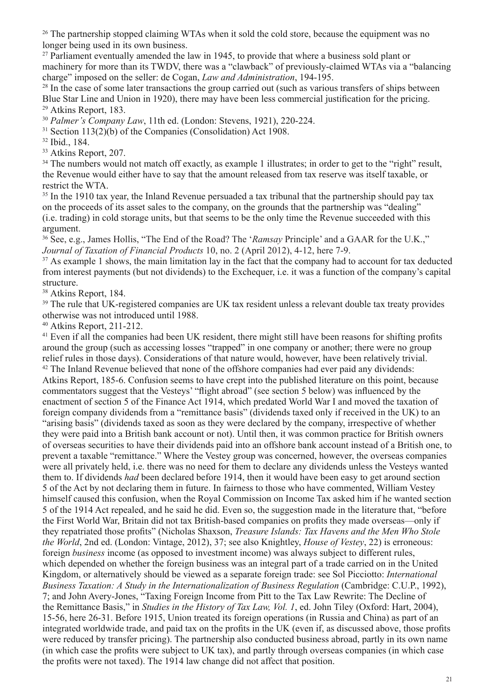<sup>26</sup> The partnership stopped claiming WTAs when it sold the cold store, because the equipment was no longer being used in its own business.

 $27$  Parliament eventually amended the law in 1945, to provide that where a business sold plant or machinery for more than its TWDV, there was a "clawback" of previously-claimed WTAs via a "balancing charge" imposed on the seller: de Cogan, *Law and Administration*, 194-195.

<sup>28</sup> In the case of some later transactions the group carried out (such as various transfers of ships between Blue Star Line and Union in 1920), there may have been less commercial justification for the pricing. <sup>29</sup> Atkins Report, 183.

<sup>30</sup> *Palmer's Company Law*, 11th ed. (London: Stevens, 1921), 220-224.

<sup>31</sup> Section 113(2)(b) of the Companies (Consolidation) Act 1908.

<sup>32</sup> Ibid., 184.

<sup>33</sup> Atkins Report, 207.

<sup>34</sup> The numbers would not match off exactly, as example 1 illustrates; in order to get to the "right" result, the Revenue would either have to say that the amount released from tax reserve was itself taxable, or restrict the WTA.

<sup>35</sup> In the 1910 tax year, the Inland Revenue persuaded a tax tribunal that the partnership should pay tax on the proceeds of its asset sales to the company, on the grounds that the partnership was "dealing" (i.e. trading) in cold storage units, but that seems to be the only time the Revenue succeeded with this argument.

<sup>36</sup> See, e.g., James Hollis, "The End of the Road? The '*Ramsay* Principle' and a GAAR for the U.K.," *Journal of Taxation of Financial Products* 10, no. 2 (April 2012), 4-12, here 7-9.

<sup>37</sup> As example 1 shows, the main limitation lay in the fact that the company had to account for tax deducted from interest payments (but not dividends) to the Exchequer, i.e. it was a function of the company's capital structure.

<sup>38</sup> Atkins Report, 184.

<sup>39</sup> The rule that UK-registered companies are UK tax resident unless a relevant double tax treaty provides otherwise was not introduced until 1988.

<sup>40</sup> Atkins Report, 211-212.

<sup>41</sup> Even if all the companies had been UK resident, there might still have been reasons for shifting profits around the group (such as accessing losses "trapped" in one company or another; there were no group relief rules in those days). Considerations of that nature would, however, have been relatively trivial.  $42$  The Inland Revenue believed that none of the offshore companies had ever paid any dividends: Atkins Report, 185-6. Confusion seems to have crept into the published literature on this point, because commentators suggest that the Vesteys' "flight abroad" (see section 5 below) was influenced by the enactment of section 5 of the Finance Act 1914, which predated World War I and moved the taxation of foreign company dividends from a "remittance basis" (dividends taxed only if received in the UK) to an "arising basis" (dividends taxed as soon as they were declared by the company, irrespective of whether they were paid into a British bank account or not). Until then, it was common practice for British owners of overseas securities to have their dividends paid into an offshore bank account instead of a British one, to prevent a taxable "remittance." Where the Vestey group was concerned, however, the overseas companies were all privately held, i.e. there was no need for them to declare any dividends unless the Vesteys wanted them to. If dividends *had* been declared before 1914, then it would have been easy to get around section 5 of the Act by not declaring them in future. In fairness to those who have commented, William Vestey himself caused this confusion, when the Royal Commission on Income Tax asked him if he wanted section 5 of the 1914 Act repealed, and he said he did. Even so, the suggestion made in the literature that, "before the First World War, Britain did not tax British-based companies on profits they made overseas—only if they repatriated those profits" (Nicholas Shaxson, *Treasure Islands: Tax Havens and the Men Who Stole the World*, 2nd ed. (London: Vintage, 2012), 37; see also Knightley, *House of Vestey*, 22) is erroneous: foreign *business* income (as opposed to investment income) was always subject to different rules, which depended on whether the foreign business was an integral part of a trade carried on in the United Kingdom, or alternatively should be viewed as a separate foreign trade: see Sol Picciotto: *International Business Taxation: A Study in the Internationalization of Business Regulation (Cambridge: C.U.P., 1992),* 7; and John Avery-Jones, "Taxing Foreign Income from Pitt to the Tax Law Rewrite: The Decline of the Remittance Basis," in *Studies in the History of Tax Law, Vol. 1*, ed. John Tiley (Oxford: Hart, 2004), 15-56, here 26-31. Before 1915, Union treated its foreign operations (in Russia and China) as part of an integrated worldwide trade, and paid tax on the profits in the UK (even if, as discussed above, those profits were reduced by transfer pricing). The partnership also conducted business abroad, partly in its own name (in which case the profits were subject to UK tax), and partly through overseas companies (in which case the profits were not taxed). The 1914 law change did not affect that position.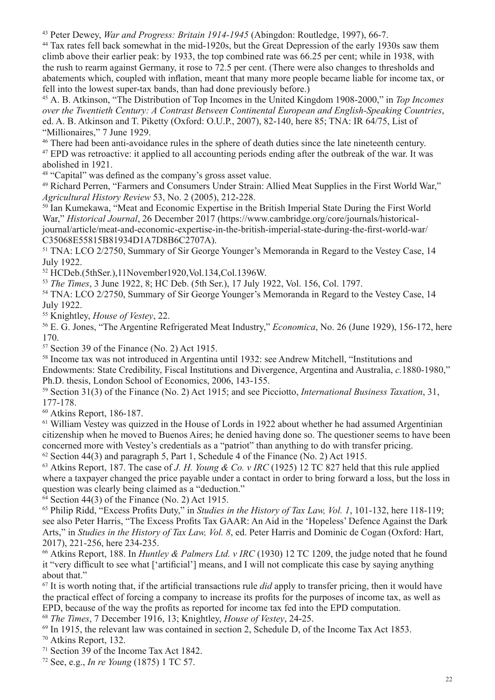<sup>43</sup> Peter Dewey, *War and Progress: Britain 1914-1945* (Abingdon: Routledge, 1997), 66-7.

<sup>44</sup> Tax rates fell back somewhat in the mid-1920s, but the Great Depression of the early 1930s saw them climb above their earlier peak: by 1933, the top combined rate was 66.25 per cent; while in 1938, with the rush to rearm against Germany, it rose to 72.5 per cent. (There were also changes to thresholds and abatements which, coupled with inflation, meant that many more people became liable for income tax, or fell into the lowest super-tax bands, than had done previously before.)

<sup>45</sup> A. B. Atkinson, "The Distribution of Top Incomes in the United Kingdom 1908-2000," in *Top Incomes over the Twentieth Century: A Contrast Between Continental European and English-Speaking Countries*, ed. A. B. Atkinson and T. Piketty (Oxford: O.U.P., 2007), 82-140, here 85; TNA: IR 64/75, List of "Millionaires," 7 June 1929.

<sup>46</sup> There had been anti-avoidance rules in the sphere of death duties since the late nineteenth century. <sup>47</sup> EPD was retroactive: it applied to all accounting periods ending after the outbreak of the war. It was abolished in 1921.

<sup>48</sup> "Capital" was defined as the company's gross asset value.

<sup>49</sup> Richard Perren, "Farmers and Consumers Under Strain: Allied Meat Supplies in the First World War," *Agricultural History Review* 53, No. 2 (2005), 212-228.

<sup>50</sup> Ian Kumekawa, "Meat and Economic Expertise in the British Imperial State During the First World War," *Historical Journal*, 26 December 2017 (https://www.cambridge.org/core/journals/historicaljournal/article/meat-and-economic-expertise-in-the-british-imperial-state-during-the-first-world-war/ C35068E55815B81934D1A7D8B6C2707A).

<sup>51</sup> TNA: LCO 2/2750, Summary of Sir George Younger's Memoranda in Regard to the Vestey Case, 14 July 1922.

<sup>52</sup> HCDeb.(5thSer.),11November1920,Vol.134,Col.1396W.

<sup>53</sup> *The Times*, 3 June 1922, 8; HC Deb. (5th Ser.), 17 July 1922, Vol. 156, Col. 1797.

<sup>54</sup> TNA: LCO 2/2750, Summary of Sir George Younger's Memoranda in Regard to the Vestey Case, 14 July 1922.

<sup>55</sup> Knightley, *House of Vestey*, 22.

<sup>56</sup> E. G. Jones, "The Argentine Refrigerated Meat Industry," *Economica*, No. 26 (June 1929), 156-172, here 170.

<sup>57</sup> Section 39 of the Finance (No. 2) Act 1915.

<sup>58</sup> Income tax was not introduced in Argentina until 1932: see Andrew Mitchell, "Institutions and Endowments: State Credibility, Fiscal Institutions and Divergence, Argentina and Australia, *c.*1880-1980," Ph.D. thesis, London School of Economics, 2006, 143-155.

<sup>59</sup> Section 31(3) of the Finance (No. 2) Act 1915; and see Picciotto, *International Business Taxation*, 31, 177-178.

<sup>60</sup> Atkins Report, 186-187.

 $61$  William Vestey was quizzed in the House of Lords in 1922 about whether he had assumed Argentinian citizenship when he moved to Buenos Aires; he denied having done so. The questioner seems to have been concerned more with Vestey's credentials as a "patriot" than anything to do with transfer pricing.  $62$  Section 44(3) and paragraph 5, Part 1, Schedule 4 of the Finance (No. 2) Act 1915.

<sup>63</sup> Atkins Report, 187. The case of *J. H. Young & Co. v IRC* (1925) 12 TC 827 held that this rule applied where a taxpayer changed the price payable under a contact in order to bring forward a loss, but the loss in question was clearly being claimed as a "deduction."

 $64$  Section 44(3) of the Finance (No. 2) Act 1915.

<sup>65</sup> Philip Ridd, "Excess Profits Duty," in *Studies in the History of Tax Law, Vol. 1*, 101-132, here 118-119; see also Peter Harris, "The Excess Profits Tax GAAR: An Aid in the 'Hopeless' Defence Against the Dark Arts," in *Studies in the History of Tax Law, Vol. 8*, ed. Peter Harris and Dominic de Cogan (Oxford: Hart, 2017), 221-256, here 234-235.

<sup>66</sup> Atkins Report, 188. In *Huntley & Palmers Ltd. v IRC* (1930) 12 TC 1209, the judge noted that he found it "very difficult to see what ['artificial'] means, and I will not complicate this case by saying anything about that."

<sup>67</sup> It is worth noting that, if the artificial transactions rule *did* apply to transfer pricing, then it would have the practical effect of forcing a company to increase its profits for the purposes of income tax, as well as EPD, because of the way the profits as reported for income tax fed into the EPD computation.

<sup>68</sup> *The Times*, 7 December 1916, 13; Knightley, *House of Vestey*, 24-25.

<sup>69</sup> In 1915, the relevant law was contained in section 2, Schedule D, of the Income Tax Act 1853.

<sup>70</sup> Atkins Report, 132.

<sup>71</sup> Section 39 of the Income Tax Act 1842.

<sup>72</sup> See, e.g., *In re Young* (1875) 1 TC 57.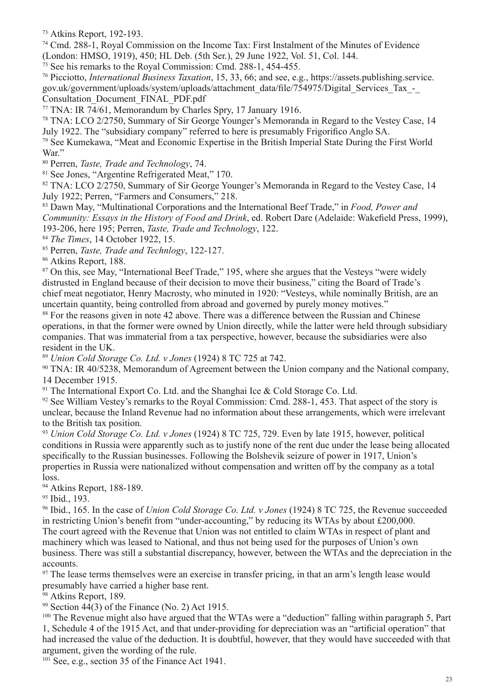<sup>73</sup> Atkins Report, 192-193.

<sup>74</sup> Cmd. 288-1, Royal Commission on the Income Tax: First Instalment of the Minutes of Evidence (London: HMSO, 1919), 450; HL Deb. (5th Ser.), 29 June 1922, Vol. 51, Col. 144.

<sup>75</sup> See his remarks to the Royal Commission: Cmd. 288-1, 454-455.

<sup>76</sup> Picciotto, *International Business Taxation*, 15, 33, 66; and see, e.g., https://assets.publishing.service. gov.uk/government/uploads/system/uploads/attachment\_data/file/754975/Digital\_Services\_Tax\_-\_ Consultation\_Document\_FINAL\_PDF.pdf

<sup>77</sup> TNA: IR  $74/61$ , Memorandum by Charles Spry, 17 January 1916.

<sup>78</sup> TNA: LCO 2/2750, Summary of Sir George Younger's Memoranda in Regard to the Vestey Case, 14 July 1922. The "subsidiary company" referred to here is presumably Frigorifico Anglo SA.

<sup>79</sup> See Kumekawa, "Meat and Economic Expertise in the British Imperial State During the First World War."

<sup>80</sup> Perren, *Taste, Trade and Technology*, 74.

<sup>81</sup> See Jones, "Argentine Refrigerated Meat," 170.

82 TNA: LCO 2/2750, Summary of Sir George Younger's Memoranda in Regard to the Vestey Case, 14 July 1922; Perren, "Farmers and Consumers," 218.

<sup>83</sup> Dawn May, "Multinational Corporations and the International Beef Trade," in *Food, Power and Community: Essays in the History of Food and Drink*, ed. Robert Dare (Adelaide: Wakefield Press, 1999), 193-206, here 195; Perren, *Taste, Trade and Technology*, 122.

<sup>84</sup> *The Times*, 14 October 1922, 15.

<sup>85</sup> Perren, *Taste, Trade and Technlogy*, 122-127.

<sup>86</sup> Atkins Report, 188.

<sup>87</sup> On this, see May, "International Beef Trade," 195, where she argues that the Vesteys "were widely distrusted in England because of their decision to move their business," citing the Board of Trade's chief meat negotiator, Henry Macrosty, who minuted in 1920: "Vesteys, while nominally British, are an uncertain quantity, being controlled from abroad and governed by purely money motives."

<sup>88</sup> For the reasons given in note 42 above. There was a difference between the Russian and Chinese operations, in that the former were owned by Union directly, while the latter were held through subsidiary companies. That was immaterial from a tax perspective, however, because the subsidiaries were also resident in the UK.

<sup>89</sup> *Union Cold Storage Co. Ltd. v Jones* (1924) 8 TC 725 at 742.

<sup>90</sup> TNA: IR 40/5238, Memorandum of Agreement between the Union company and the National company, 14 December 1915.

<sup>91</sup> The International Export Co. Ltd. and the Shanghai Ice  $\&$  Cold Storage Co. Ltd.

<sup>92</sup> See William Vestey's remarks to the Royal Commission: Cmd. 288-1, 453. That aspect of the story is unclear, because the Inland Revenue had no information about these arrangements, which were irrelevant to the British tax position.

<sup>93</sup> *Union Cold Storage Co. Ltd. v Jones* (1924) 8 TC 725, 729. Even by late 1915, however, political conditions in Russia were apparently such as to justify none of the rent due under the lease being allocated specifically to the Russian businesses. Following the Bolshevik seizure of power in 1917, Union's properties in Russia were nationalized without compensation and written off by the company as a total loss.

<sup>94</sup> Atkins Report, 188-189.

<sup>95</sup> Ibid., 193.

<sup>96</sup> Ibid., 165. In the case of *Union Cold Storage Co. Ltd. v Jones* (1924) 8 TC 725, the Revenue succeeded in restricting Union's benefit from "under-accounting," by reducing its WTAs by about £200,000. The court agreed with the Revenue that Union was not entitled to claim WTAs in respect of plant and machinery which was leased to National, and thus not being used for the purposes of Union's own business. There was still a substantial discrepancy, however, between the WTAs and the depreciation in the accounts.

<sup>97</sup> The lease terms themselves were an exercise in transfer pricing, in that an arm's length lease would presumably have carried a higher base rent.

<sup>98</sup> Atkins Report, 189.

<sup>99</sup> Section  $44(3)$  of the Finance (No. 2) Act 1915.

<sup>100</sup> The Revenue might also have argued that the WTAs were a "deduction" falling within paragraph 5, Part 1, Schedule 4 of the 1915 Act, and that under-providing for depreciation was an "artificial operation" that had increased the value of the deduction. It is doubtful, however, that they would have succeeded with that argument, given the wording of the rule.

<sup>101</sup> See, e.g., section 35 of the Finance Act 1941.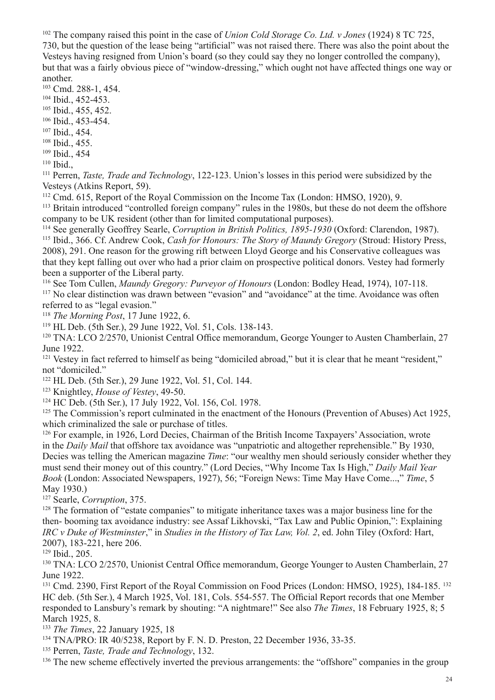<sup>102</sup> The company raised this point in the case of *Union Cold Storage Co. Ltd. v Jones* (1924) 8 TC 725,

730, but the question of the lease being "artificial" was not raised there. There was also the point about the Vesteys having resigned from Union's board (so they could say they no longer controlled the company), but that was a fairly obvious piece of "window-dressing," which ought not have affected things one way or another.

<sup>103</sup> Cmd. 288-1, 454.

<sup>104</sup> Ibid., 452-453.

<sup>105</sup> Ibid., 455, 452.

<sup>106</sup> Ibid., 453-454.

<sup>107</sup> Ibid., 454.

<sup>108</sup> Ibid., 455.

<sup>109</sup> Ibid., 454

<sup>110</sup> Ibid.,

<sup>111</sup> Perren, *Taste, Trade and Technology*, 122-123. Union's losses in this period were subsidized by the Vesteys (Atkins Report, 59).

<sup>112</sup> Cmd. 615, Report of the Royal Commission on the Income Tax (London: HMSO, 1920), 9.

<sup>113</sup> Britain introduced "controlled foreign company" rules in the 1980s, but these do not deem the offshore company to be UK resident (other than for limited computational purposes).

<sup>114</sup> See generally Geoffrey Searle, *Corruption in British Politics, 1895-1930* (Oxford: Clarendon, 1987). <sup>115</sup> Ibid., 366. Cf. Andrew Cook, *Cash for Honours: The Story of Maundy Gregory* (Stroud: History Press, 2008), 291. One reason for the growing rift between Lloyd George and his Conservative colleagues was that they kept falling out over who had a prior claim on prospective political donors. Vestey had formerly been a supporter of the Liberal party.

<sup>116</sup> See Tom Cullen, *Maundy Gregory: Purveyor of Honours* (London: Bodley Head, 1974), 107-118.

<sup>117</sup> No clear distinction was drawn between "evasion" and "avoidance" at the time. Avoidance was often referred to as "legal evasion."

<sup>118</sup> *The Morning Post*, 17 June 1922, 6.

<sup>119</sup> HL Deb. (5th Ser.), 29 June 1922, Vol. 51, Cols. 138-143.

<sup>120</sup> TNA: LCO 2/2570, Unionist Central Office memorandum, George Younger to Austen Chamberlain, 27 June 1922.

<sup>121</sup> Vestey in fact referred to himself as being "domiciled abroad," but it is clear that he meant "resident," not "domiciled."

<sup>122</sup> HL Deb. (5th Ser.), 29 June 1922, Vol. 51, Col. 144.

<sup>123</sup> Knightley, *House of Vestey*, 49-50.

<sup>124</sup> HC Deb. (5th Ser.), 17 July 1922, Vol. 156, Col. 1978.

<sup>125</sup> The Commission's report culminated in the enactment of the Honours (Prevention of Abuses) Act 1925, which criminalized the sale or purchase of titles.

<sup>126</sup> For example, in 1926, Lord Decies, Chairman of the British Income Taxpayers' Association, wrote in the *Daily Mail* that offshore tax avoidance was "unpatriotic and altogether reprehensible." By 1930, Decies was telling the American magazine *Time*: "our wealthy men should seriously consider whether they must send their money out of this country." (Lord Decies, "Why Income Tax Is High," *Daily Mail Year Book* (London: Associated Newspapers, 1927), 56; "Foreign News: Time May Have Come...," *Time*, 5 May 1930.)

<sup>127</sup> Searle, *Corruption*, 375.

<sup>128</sup> The formation of "estate companies" to mitigate inheritance taxes was a major business line for the then- booming tax avoidance industry: see Assaf Likhovski, "Tax Law and Public Opinion,": Explaining *IRC v Duke of Westminster*," in *Studies in the History of Tax Law, Vol. 2*, ed. John Tiley (Oxford: Hart, 2007), 183-221, here 206.

<sup>129</sup> Ibid., 205.

<sup>130</sup> TNA: LCO 2/2570, Unionist Central Office memorandum, George Younger to Austen Chamberlain, 27 June 1922.

<sup>131</sup> Cmd. 2390, First Report of the Royal Commission on Food Prices (London: HMSO, 1925), 184-185.<sup>132</sup> HC deb. (5th Ser.), 4 March 1925, Vol. 181, Cols. 554-557. The Official Report records that one Member responded to Lansbury's remark by shouting: "A nightmare!" See also *The Times*, 18 February 1925, 8; 5 March 1925, 8.

<sup>133</sup> *The Times*, 22 January 1925, 18

<sup>134</sup> TNA/PRO: IR 40/5238, Report by F. N. D. Preston, 22 December 1936, 33-35.

<sup>135</sup> Perren, *Taste, Trade and Technology*, 132.

<sup>136</sup> The new scheme effectively inverted the previous arrangements: the "offshore" companies in the group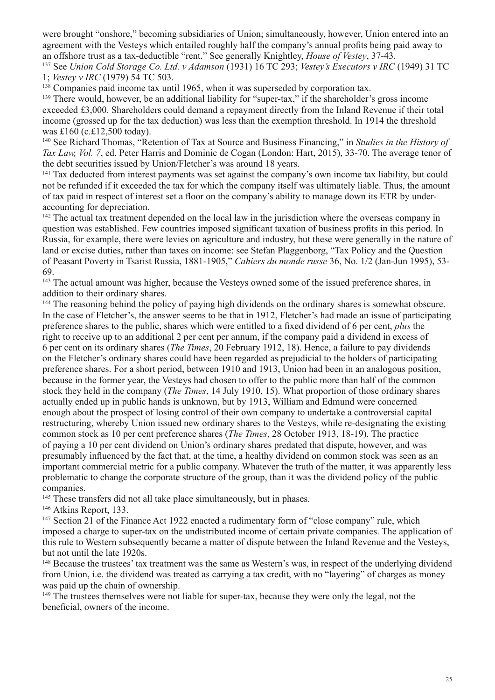were brought "onshore," becoming subsidiaries of Union; simultaneously, however, Union entered into an agreement with the Vesteys which entailed roughly half the company's annual profits being paid away to an offshore trust as a tax-deductible "rent." See generally Knightley, *House of Vestey*, 37-43.

<sup>137</sup> See *Union Cold Storage Co. Ltd. v Adamson* (1931) 16 TC 293; *Vestey's Executors v IRC* (1949) 31 TC 1; *Vestey v IRC* (1979) 54 TC 503.

<sup>138</sup> Companies paid income tax until 1965, when it was superseded by corporation tax.

<sup>139</sup> There would, however, be an additional liability for "super-tax," if the shareholder's gross income exceeded £3,000. Shareholders could demand a repayment directly from the Inland Revenue if their total income (grossed up for the tax deduction) was less than the exemption threshold. In 1914 the threshold was £160 (c.£12,500 today).

<sup>140</sup> See Richard Thomas, "Retention of Tax at Source and Business Financing," in *Studies in the History of Tax Law, Vol. 7*, ed. Peter Harris and Dominic de Cogan (London: Hart, 2015), 33-70. The average tenor of the debt securities issued by Union/Fletcher's was around 18 years.

<sup>141</sup> Tax deducted from interest payments was set against the company's own income tax liability, but could not be refunded if it exceeded the tax for which the company itself was ultimately liable. Thus, the amount of tax paid in respect of interest set a floor on the company's ability to manage down its ETR by underaccounting for depreciation.

<sup>142</sup> The actual tax treatment depended on the local law in the jurisdiction where the overseas company in question was established. Few countries imposed significant taxation of business profits in this period. In Russia, for example, there were levies on agriculture and industry, but these were generally in the nature of land or excise duties, rather than taxes on income: see Stefan Plaggenborg, "Tax Policy and the Question of Peasant Poverty in Tsarist Russia, 1881-1905," *Cahiers du monde russe* 36, No. 1/2 (Jan-Jun 1995), 53- 69.

<sup>143</sup> The actual amount was higher, because the Vesteys owned some of the issued preference shares, in addition to their ordinary shares.

<sup>144</sup> The reasoning behind the policy of paying high dividends on the ordinary shares is somewhat obscure. In the case of Fletcher's, the answer seems to be that in 1912, Fletcher's had made an issue of participating preference shares to the public, shares which were entitled to a fixed dividend of 6 per cent, *plus* the right to receive up to an additional 2 per cent per annum, if the company paid a dividend in excess of 6 per cent on its ordinary shares (*The Times*, 20 February 1912, 18). Hence, a failure to pay dividends on the Fletcher's ordinary shares could have been regarded as prejudicial to the holders of participating preference shares. For a short period, between 1910 and 1913, Union had been in an analogous position, because in the former year, the Vesteys had chosen to offer to the public more than half of the common stock they held in the company (*The Times*, 14 July 1910, 15). What proportion of those ordinary shares actually ended up in public hands is unknown, but by 1913, William and Edmund were concerned enough about the prospect of losing control of their own company to undertake a controversial capital restructuring, whereby Union issued new ordinary shares to the Vesteys, while re-designating the existing common stock as 10 per cent preference shares (*The Times*, 28 October 1913, 18-19). The practice of paying a 10 per cent dividend on Union's ordinary shares predated that dispute, however, and was presumably influenced by the fact that, at the time, a healthy dividend on common stock was seen as an important commercial metric for a public company. Whatever the truth of the matter, it was apparently less problematic to change the corporate structure of the group, than it was the dividend policy of the public companies.

<sup>145</sup> These transfers did not all take place simultaneously, but in phases.

<sup>146</sup> Atkins Report, 133.

<sup>147</sup> Section 21 of the Finance Act 1922 enacted a rudimentary form of "close company" rule, which imposed a charge to super-tax on the undistributed income of certain private companies. The application of this rule to Western subsequently became a matter of dispute between the Inland Revenue and the Vesteys, but not until the late 1920s.

<sup>148</sup> Because the trustees' tax treatment was the same as Western's was, in respect of the underlying dividend from Union, i.e. the dividend was treated as carrying a tax credit, with no "layering" of charges as money was paid up the chain of ownership.

<sup>149</sup> The trustees themselves were not liable for super-tax, because they were only the legal, not the beneficial, owners of the income.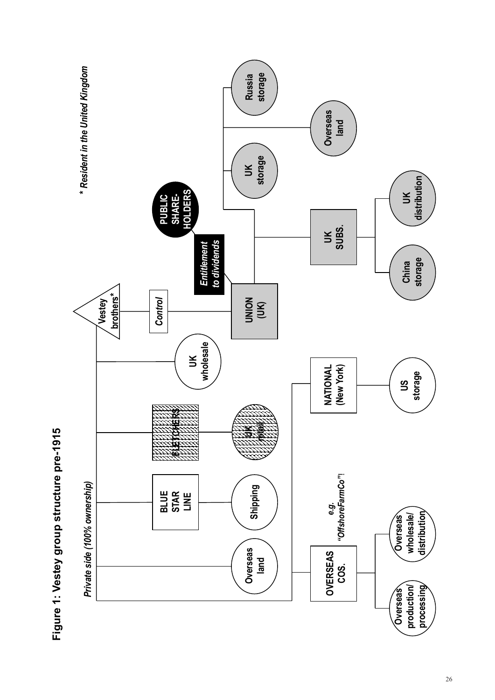

Figure 1: Vestey group structure pre-1915 **Figure 1: Vestey group structure pre-1915**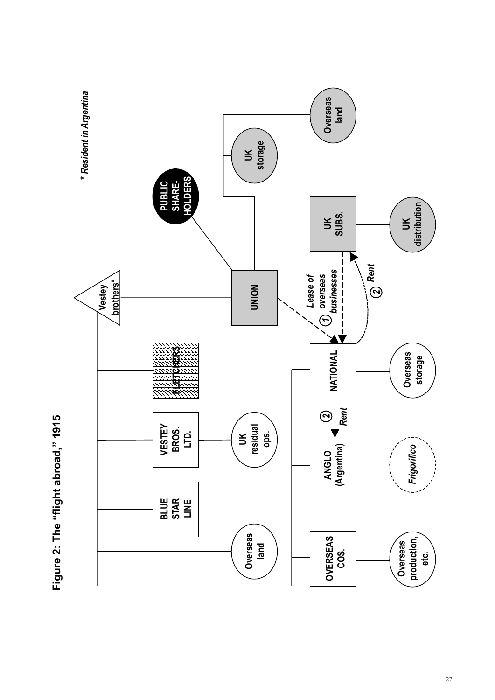

Figure 2: The "flight abroad," 1915 **Figure 2: The "flight abroad," 1915**